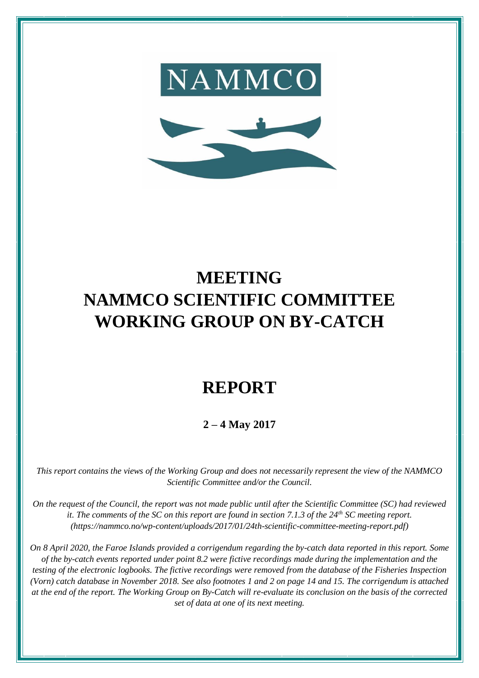



# **MEETING NAMMCO SCIENTIFIC COMMITTEE WORKING GROUP ON BY-CATCH**

# **REPORT**

**2 – 4 May 2017**

*This report contains the views of the Working Group and does not necessarily represent the view of the NAMMCO Scientific Committee and/or the Council.*

*On the request of the Council, the report was not made public until after the Scientific Committee (SC) had reviewed it. The comments of the SC on this report are found in section 7.1.3 of the 24th SC meeting report. [\(https://nammco.no/wp-content/uploads/2017/01/24th-scientific-committee-meeting-report.pdf\)](https://nammco.no/wp-content/uploads/2017/01/24th-scientific-committee-meeting-report.pdf)*

*On 8 April 2020, the Faroe Islands provided a corrigendum regarding the by-catch data reported in this report. Some of the by-catch events reported under point 8.2 were fictive recordings made during the implementation and the testing of the electronic logbooks. The fictive recordings were removed from the database of the Fisheries Inspection (Vorn) catch database in November 2018. See also footnotes 1 and 2 on page 14 and 15. The corrigendum is attached at the end of the report. The Working Group on By-Catch will re-evaluate its conclusion on the basis of the corrected set of data at one of its next meeting.*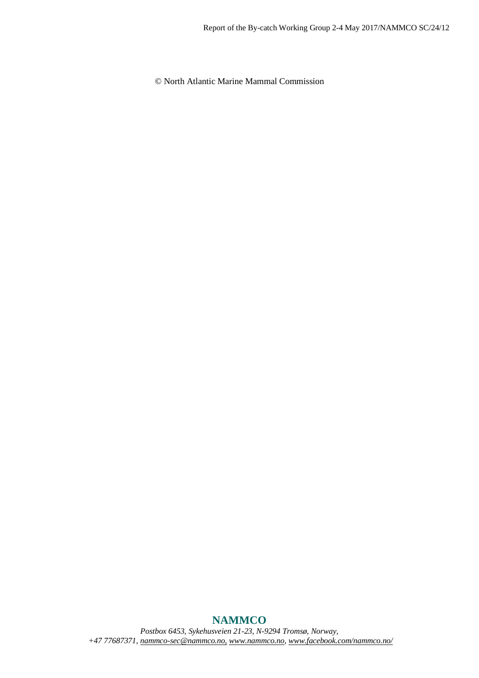© North Atlantic Marine Mammal Commission

# **NAMMCO**

*Postbox 6453, Sykehusveien 21-23, N-9294 Tromsø, Norway, +47 77687371, [nammco-sec@nammco.no,](mailto:nammco-sec@nammco.no) [www.nammco.no,](http://www.nammco.no/) [www.facebook.com/nammco.no/](http://www.facebook.com/nammco.no/)*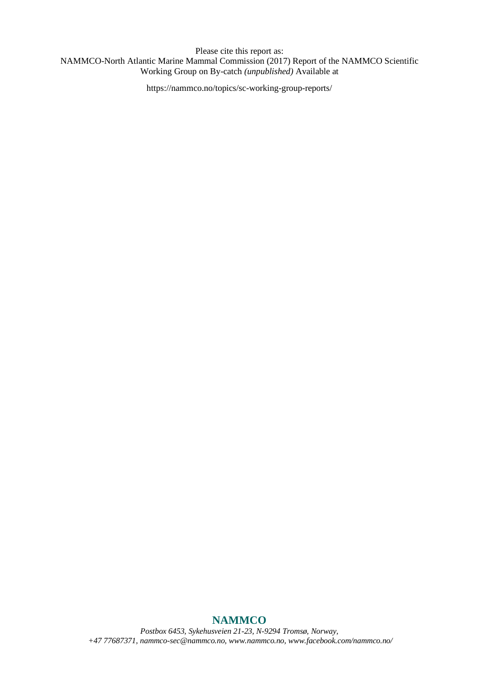Please cite this report as: NAMMCO-North Atlantic Marine Mammal Commission (2017) Report of the NAMMCO Scientific Working Group on By-catch *(unpublished)* Available at

https://nammco.no/topics/sc-working-group-reports/

# **NAMMCO**

*Postbox 6453, Sykehusveien 21-23, N-9294 Tromsø, Norway, +47 77687371, [nammco-sec@nammco.no,](mailto:nammco-sec@nammco.no) [www.nammco.no,](http://www.nammco.no/) [www.facebook.com/nammco.no/](http://www.facebook.com/nammco.no/)*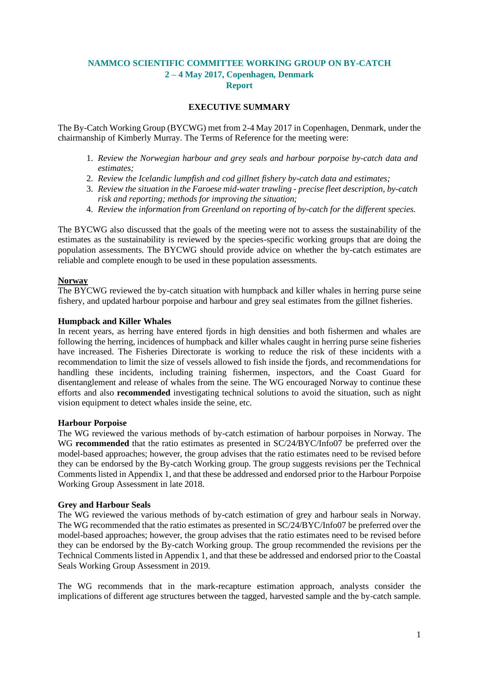# **NAMMCO SCIENTIFIC COMMITTEE WORKING GROUP ON BY-CATCH 2 – 4 May 2017, Copenhagen, Denmark Report**

#### **EXECUTIVE SUMMARY**

The By-Catch Working Group (BYCWG) met from 2-4 May 2017 in Copenhagen, Denmark, under the chairmanship of Kimberly Murray. The Terms of Reference for the meeting were:

- 1. *Review the Norwegian harbour and grey seals and harbour porpoise by-catch data and estimates;*
- 2. *Review the Icelandic lumpfish and cod gillnet fishery by-catch data and estimates;*
- 3. *Review the situation in the Faroese mid-water trawling - precise fleet description, by-catch risk and reporting; methods for improving the situation;*
- 4. *Review the information from Greenland on reporting of by-catch for the different species.*

The BYCWG also discussed that the goals of the meeting were not to assess the sustainability of the estimates as the sustainability is reviewed by the species-specific working groups that are doing the population assessments. The BYCWG should provide advice on whether the by-catch estimates are reliable and complete enough to be used in these population assessments.

#### **Norway**

The BYCWG reviewed the by-catch situation with humpback and killer whales in herring purse seine fishery, and updated harbour porpoise and harbour and grey seal estimates from the gillnet fisheries.

#### **Humpback and Killer Whales**

In recent years, as herring have entered fjords in high densities and both fishermen and whales are following the herring, incidences of humpback and killer whales caught in herring purse seine fisheries have increased. The Fisheries Directorate is working to reduce the risk of these incidents with a recommendation to limit the size of vessels allowed to fish inside the fjords, and recommendations for handling these incidents, including training fishermen, inspectors, and the Coast Guard for disentanglement and release of whales from the seine. The WG encouraged Norway to continue these efforts and also **recommended** investigating technical solutions to avoid the situation, such as night vision equipment to detect whales inside the seine, etc.

#### **Harbour Porpoise**

The WG reviewed the various methods of by-catch estimation of harbour porpoises in Norway. The WG **recommended** that the ratio estimates as presented in SC/24/BYC/Info07 be preferred over the model-based approaches; however, the group advises that the ratio estimates need to be revised before they can be endorsed by the By-catch Working group. The group suggests revisions per the Technical Comments listed in Appendix 1, and that these be addressed and endorsed prior to the Harbour Porpoise Working Group Assessment in late 2018.

#### **Grey and Harbour Seals**

The WG reviewed the various methods of by-catch estimation of grey and harbour seals in Norway. The WG recommended that the ratio estimates as presented in SC/24/BYC/Info07 be preferred over the model-based approaches; however, the group advises that the ratio estimates need to be revised before they can be endorsed by the By-catch Working group. The group recommended the revisions per the Technical Comments listed in Appendix 1, and that these be addressed and endorsed prior to the Coastal Seals Working Group Assessment in 2019.

The WG recommends that in the mark-recapture estimation approach, analysts consider the implications of different age structures between the tagged, harvested sample and the by-catch sample.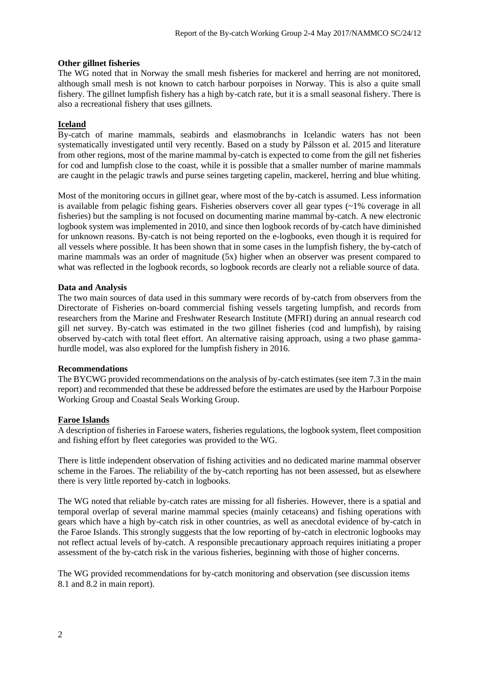#### **Other gillnet fisheries**

The WG noted that in Norway the small mesh fisheries for mackerel and herring are not monitored, although small mesh is not known to catch harbour porpoises in Norway. This is also a quite small fishery. The gillnet lumpfish fishery has a high by-catch rate, but it is a small seasonal fishery. There is also a recreational fishery that uses gillnets.

#### **Iceland**

By-catch of marine mammals, seabirds and elasmobranchs in Icelandic waters has not been systematically investigated until very recently. Based on a study by Pálsson et al. 2015 and literature from other regions, most of the marine mammal by-catch is expected to come from the gill net fisheries for cod and lumpfish close to the coast, while it is possible that a smaller number of marine mammals are caught in the pelagic trawls and purse seines targeting capelin, mackerel, herring and blue whiting.

Most of the monitoring occurs in gillnet gear, where most of the by-catch is assumed. Less information is available from pelagic fishing gears. Fisheries observers cover all gear types (~1% coverage in all fisheries) but the sampling is not focused on documenting marine mammal by-catch. A new electronic logbook system was implemented in 2010, and since then logbook records of by-catch have diminished for unknown reasons. By-catch is not being reported on the e-logbooks, even though it is required for all vessels where possible. It has been shown that in some cases in the lumpfish fishery, the by-catch of marine mammals was an order of magnitude (5x) higher when an observer was present compared to what was reflected in the logbook records, so logbook records are clearly not a reliable source of data.

#### **Data and Analysis**

The two main sources of data used in this summary were records of by-catch from observers from the Directorate of Fisheries on-board commercial fishing vessels targeting lumpfish, and records from researchers from the Marine and Freshwater Research Institute (MFRI) during an annual research cod gill net survey. By-catch was estimated in the two gillnet fisheries (cod and lumpfish), by raising observed by-catch with total fleet effort. An alternative raising approach, using a two phase gammahurdle model, was also explored for the lumpfish fishery in 2016.

#### **Recommendations**

The BYCWG provided recommendations on the analysis of by-catch estimates (see item 7.3 in the main report) and recommended that these be addressed before the estimates are used by the Harbour Porpoise Working Group and Coastal Seals Working Group.

#### **Faroe Islands**

A description of fisheries in Faroese waters, fisheries regulations, the logbook system, fleet composition and fishing effort by fleet categories was provided to the WG.

There is little independent observation of fishing activities and no dedicated marine mammal observer scheme in the Faroes. The reliability of the by-catch reporting has not been assessed, but as elsewhere there is very little reported by-catch in logbooks.

The WG noted that reliable by-catch rates are missing for all fisheries. However, there is a spatial and temporal overlap of several marine mammal species (mainly cetaceans) and fishing operations with gears which have a high by-catch risk in other countries, as well as anecdotal evidence of by-catch in the Faroe Islands. This strongly suggests that the low reporting of by-catch in electronic logbooks may not reflect actual levels of by-catch. A responsible precautionary approach requires initiating a proper assessment of the by-catch risk in the various fisheries, beginning with those of higher concerns.

The WG provided recommendations for by-catch monitoring and observation (see discussion items 8.1 and 8.2 in main report).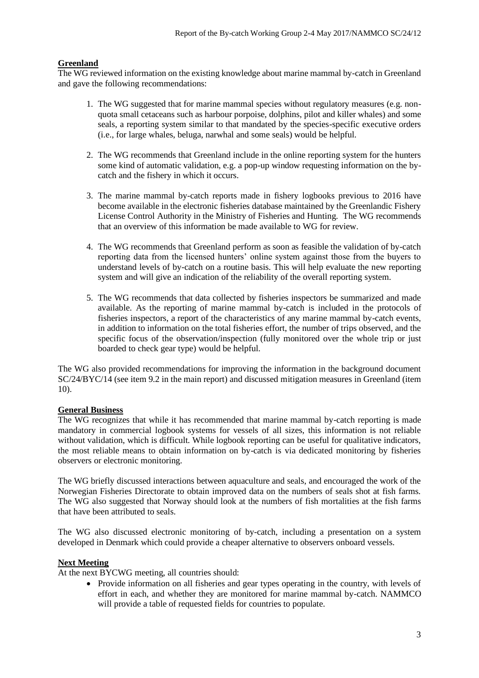#### **Greenland**

The WG reviewed information on the existing knowledge about marine mammal by-catch in Greenland and gave the following recommendations:

- 1. The WG suggested that for marine mammal species without regulatory measures (e.g. nonquota small cetaceans such as harbour porpoise, dolphins, pilot and killer whales) and some seals, a reporting system similar to that mandated by the species-specific executive orders (i.e., for large whales, beluga, narwhal and some seals) would be helpful.
- 2. The WG recommends that Greenland include in the online reporting system for the hunters some kind of automatic validation, e.g. a pop-up window requesting information on the bycatch and the fishery in which it occurs.
- 3. The marine mammal by-catch reports made in fishery logbooks previous to 2016 have become available in the electronic fisheries database maintained by the Greenlandic Fishery License Control Authority in the Ministry of Fisheries and Hunting. The WG recommends that an overview of this information be made available to WG for review.
- 4. The WG recommends that Greenland perform as soon as feasible the validation of by-catch reporting data from the licensed hunters' online system against those from the buyers to understand levels of by-catch on a routine basis. This will help evaluate the new reporting system and will give an indication of the reliability of the overall reporting system.
- 5. The WG recommends that data collected by fisheries inspectors be summarized and made available. As the reporting of marine mammal by-catch is included in the protocols of fisheries inspectors, a report of the characteristics of any marine mammal by-catch events, in addition to information on the total fisheries effort, the number of trips observed, and the specific focus of the observation/inspection (fully monitored over the whole trip or just boarded to check gear type) would be helpful.

The WG also provided recommendations for improving the information in the background document SC/24/BYC/14 (see item 9.2 in the main report) and discussed mitigation measures in Greenland (item 10).

# **General Business**

The WG recognizes that while it has recommended that marine mammal by-catch reporting is made mandatory in commercial logbook systems for vessels of all sizes, this information is not reliable without validation, which is difficult. While logbook reporting can be useful for qualitative indicators, the most reliable means to obtain information on by-catch is via dedicated monitoring by fisheries observers or electronic monitoring.

The WG briefly discussed interactions between aquaculture and seals, and encouraged the work of the Norwegian Fisheries Directorate to obtain improved data on the numbers of seals shot at fish farms. The WG also suggested that Norway should look at the numbers of fish mortalities at the fish farms that have been attributed to seals.

The WG also discussed electronic monitoring of by-catch, including a presentation on a system developed in Denmark which could provide a cheaper alternative to observers onboard vessels.

#### **Next Meeting**

At the next BYCWG meeting, all countries should:

• Provide information on all fisheries and gear types operating in the country, with levels of effort in each, and whether they are monitored for marine mammal by-catch. NAMMCO will provide a table of requested fields for countries to populate.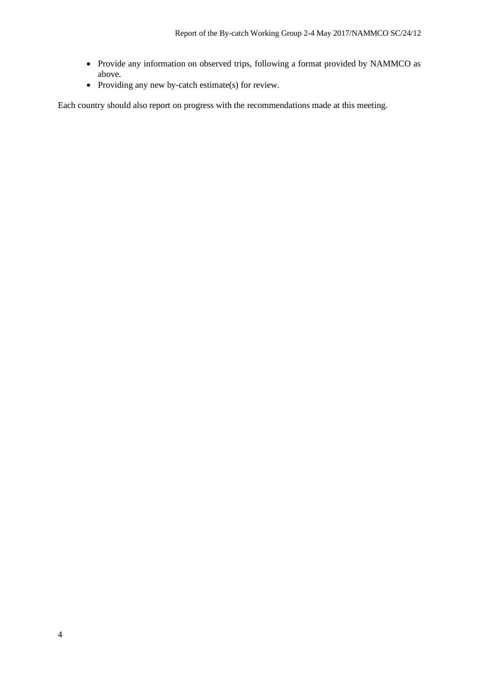- Provide any information on observed trips, following a format provided by NAMMCO as above.
- Providing any new by-catch estimate(s) for review.

Each country should also report on progress with the recommendations made at this meeting.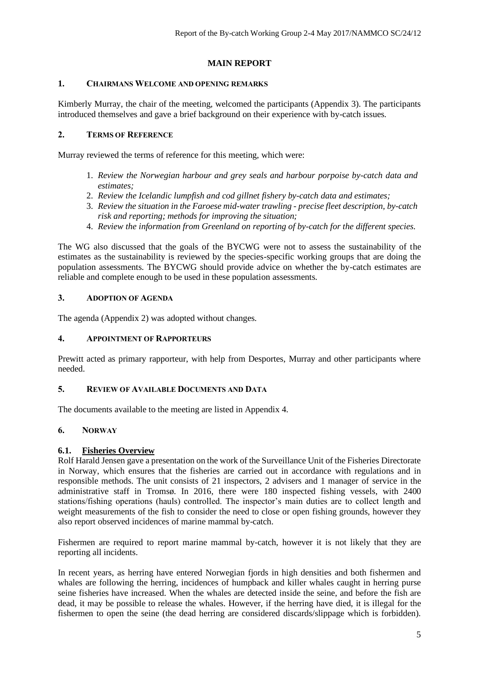# **MAIN REPORT**

### **1. CHAIRMANS WELCOME AND OPENING REMARKS**

Kimberly Murray, the chair of the meeting, welcomed the participants (Appendix 3). The participants introduced themselves and gave a brief background on their experience with by-catch issues.

#### **2. TERMS OF REFERENCE**

Murray reviewed the terms of reference for this meeting, which were:

- 1. *Review the Norwegian harbour and grey seals and harbour porpoise by-catch data and estimates;*
- 2. *Review the Icelandic lumpfish and cod gillnet fishery by-catch data and estimates;*
- 3. *Review the situation in the Faroese mid-water trawling - precise fleet description, by-catch risk and reporting; methods for improving the situation;*
- 4. *Review the information from Greenland on reporting of by-catch for the different species.*

The WG also discussed that the goals of the BYCWG were not to assess the sustainability of the estimates as the sustainability is reviewed by the species-specific working groups that are doing the population assessments. The BYCWG should provide advice on whether the by-catch estimates are reliable and complete enough to be used in these population assessments.

# **3. ADOPTION OF AGENDA**

The agenda (Appendix 2) was adopted without changes.

#### **4. APPOINTMENT OF RAPPORTEURS**

Prewitt acted as primary rapporteur, with help from Desportes, Murray and other participants where needed.

#### **5. REVIEW OF AVAILABLE DOCUMENTS AND DATA**

The documents available to the meeting are listed in Appendix 4.

# **6. NORWAY**

#### **6.1. Fisheries Overview**

Rolf Harald Jensen gave a presentation on the work of the Surveillance Unit of the Fisheries Directorate in Norway, which ensures that the fisheries are carried out in accordance with regulations and in responsible methods. The unit consists of 21 inspectors, 2 advisers and 1 manager of service in the administrative staff in Tromsø. In 2016, there were 180 inspected fishing vessels, with 2400 stations/fishing operations (hauls) controlled. The inspector's main duties are to collect length and weight measurements of the fish to consider the need to close or open fishing grounds, however they also report observed incidences of marine mammal by-catch.

Fishermen are required to report marine mammal by-catch, however it is not likely that they are reporting all incidents.

In recent years, as herring have entered Norwegian fjords in high densities and both fishermen and whales are following the herring, incidences of humpback and killer whales caught in herring purse seine fisheries have increased. When the whales are detected inside the seine, and before the fish are dead, it may be possible to release the whales. However, if the herring have died, it is illegal for the fishermen to open the seine (the dead herring are considered discards/slippage which is forbidden).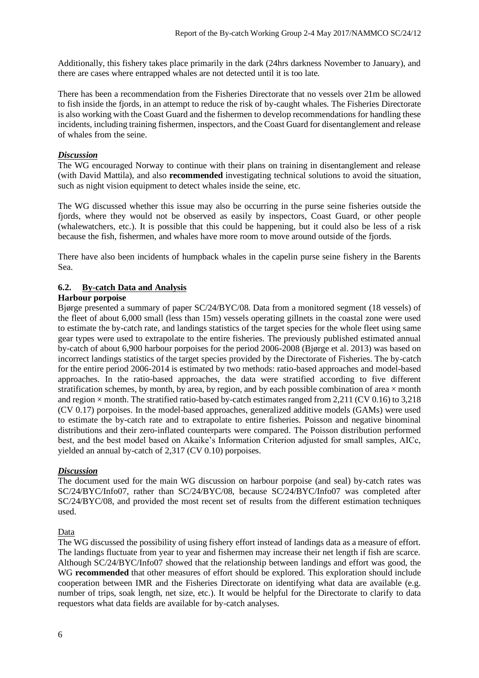Additionally, this fishery takes place primarily in the dark (24hrs darkness November to January), and there are cases where entrapped whales are not detected until it is too late.

There has been a recommendation from the Fisheries Directorate that no vessels over 21m be allowed to fish inside the fjords, in an attempt to reduce the risk of by-caught whales. The Fisheries Directorate is also working with the Coast Guard and the fishermen to develop recommendations for handling these incidents, including training fishermen, inspectors, and the Coast Guard for disentanglement and release of whales from the seine.

#### *Discussion*

The WG encouraged Norway to continue with their plans on training in disentanglement and release (with David Mattila), and also **recommended** investigating technical solutions to avoid the situation, such as night vision equipment to detect whales inside the seine, etc.

The WG discussed whether this issue may also be occurring in the purse seine fisheries outside the fjords, where they would not be observed as easily by inspectors, Coast Guard, or other people (whalewatchers, etc.). It is possible that this could be happening, but it could also be less of a risk because the fish, fishermen, and whales have more room to move around outside of the fjords.

There have also been incidents of humpback whales in the capelin purse seine fishery in the Barents Sea.

#### **6.2. By-catch Data and Analysis**

#### **Harbour porpoise**

Bjørge presented a summary of paper SC/24/BYC/08. Data from a monitored segment (18 vessels) of the fleet of about 6,000 small (less than 15m) vessels operating gillnets in the coastal zone were used to estimate the by-catch rate, and landings statistics of the target species for the whole fleet using same gear types were used to extrapolate to the entire fisheries. The previously published estimated annual by-catch of about 6,900 harbour porpoises for the period 2006-2008 (Bjørge et al. 2013) was based on incorrect landings statistics of the target species provided by the Directorate of Fisheries. The by-catch for the entire period 2006-2014 is estimated by two methods: ratio-based approaches and model-based approaches. In the ratio-based approaches, the data were stratified according to five different stratification schemes, by month, by area, by region, and by each possible combination of area  $\times$  month and region  $\times$  month. The stratified ratio-based by-catch estimates ranged from 2,211 (CV 0.16) to 3,218 (CV 0.17) porpoises. In the model-based approaches, generalized additive models (GAMs) were used to estimate the by-catch rate and to extrapolate to entire fisheries. Poisson and negative binominal distributions and their zero-inflated counterparts were compared. The Poisson distribution performed best, and the best model based on Akaike's Information Criterion adjusted for small samples, AICc, yielded an annual by-catch of 2,317 (CV 0.10) porpoises.

#### *Discussion*

The document used for the main WG discussion on harbour porpoise (and seal) by-catch rates was SC/24/BYC/Info07, rather than SC/24/BYC/08, because SC/24/BYC/Info07 was completed after SC/24/BYC/08, and provided the most recent set of results from the different estimation techniques used.

#### Data

The WG discussed the possibility of using fishery effort instead of landings data as a measure of effort. The landings fluctuate from year to year and fishermen may increase their net length if fish are scarce. Although SC/24/BYC/Info07 showed that the relationship between landings and effort was good, the WG **recommended** that other measures of effort should be explored. This exploration should include cooperation between IMR and the Fisheries Directorate on identifying what data are available (e.g. number of trips, soak length, net size, etc.). It would be helpful for the Directorate to clarify to data requestors what data fields are available for by-catch analyses.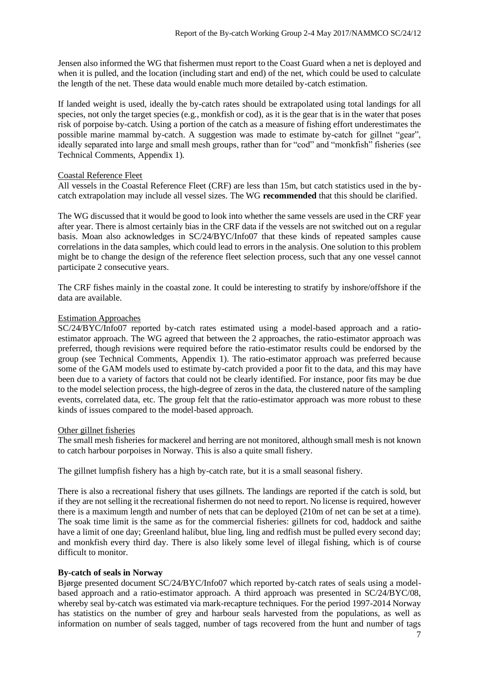Jensen also informed the WG that fishermen must report to the Coast Guard when a net is deployed and when it is pulled, and the location (including start and end) of the net, which could be used to calculate the length of the net. These data would enable much more detailed by-catch estimation.

If landed weight is used, ideally the by-catch rates should be extrapolated using total landings for all species, not only the target species (e.g., monkfish or cod), as it is the gear that is in the water that poses risk of porpoise by-catch. Using a portion of the catch as a measure of fishing effort underestimates the possible marine mammal by-catch. A suggestion was made to estimate by-catch for gillnet "gear", ideally separated into large and small mesh groups, rather than for "cod" and "monkfish" fisheries (see Technical Comments, Appendix 1).

#### Coastal Reference Fleet

All vessels in the Coastal Reference Fleet (CRF) are less than 15m, but catch statistics used in the bycatch extrapolation may include all vessel sizes. The WG **recommended** that this should be clarified.

The WG discussed that it would be good to look into whether the same vessels are used in the CRF year after year. There is almost certainly bias in the CRF data if the vessels are not switched out on a regular basis. Moan also acknowledges in SC/24/BYC/Info07 that these kinds of repeated samples cause correlations in the data samples, which could lead to errors in the analysis. One solution to this problem might be to change the design of the reference fleet selection process, such that any one vessel cannot participate 2 consecutive years.

The CRF fishes mainly in the coastal zone. It could be interesting to stratify by inshore/offshore if the data are available.

#### Estimation Approaches

SC/24/BYC/Info07 reported by-catch rates estimated using a model-based approach and a ratioestimator approach. The WG agreed that between the 2 approaches, the ratio-estimator approach was preferred, though revisions were required before the ratio-estimator results could be endorsed by the group (see Technical Comments, Appendix 1). The ratio-estimator approach was preferred because some of the GAM models used to estimate by-catch provided a poor fit to the data, and this may have been due to a variety of factors that could not be clearly identified. For instance, poor fits may be due to the model selection process, the high-degree of zeros in the data, the clustered nature of the sampling events, correlated data, etc. The group felt that the ratio-estimator approach was more robust to these kinds of issues compared to the model-based approach.

#### Other gillnet fisheries

The small mesh fisheries for mackerel and herring are not monitored, although small mesh is not known to catch harbour porpoises in Norway. This is also a quite small fishery.

The gillnet lumpfish fishery has a high by-catch rate, but it is a small seasonal fishery.

There is also a recreational fishery that uses gillnets. The landings are reported if the catch is sold, but if they are not selling it the recreational fishermen do not need to report. No license is required, however there is a maximum length and number of nets that can be deployed (210m of net can be set at a time). The soak time limit is the same as for the commercial fisheries: gillnets for cod, haddock and saithe have a limit of one day; Greenland halibut, blue ling, ling and redfish must be pulled every second day; and monkfish every third day. There is also likely some level of illegal fishing, which is of course difficult to monitor.

#### **By-catch of seals in Norway**

Bjørge presented document SC/24/BYC/Info07 which reported by-catch rates of seals using a modelbased approach and a ratio-estimator approach. A third approach was presented in SC/24/BYC/08, whereby seal by-catch was estimated via mark-recapture techniques. For the period 1997-2014 Norway has statistics on the number of grey and harbour seals harvested from the populations, as well as information on number of seals tagged, number of tags recovered from the hunt and number of tags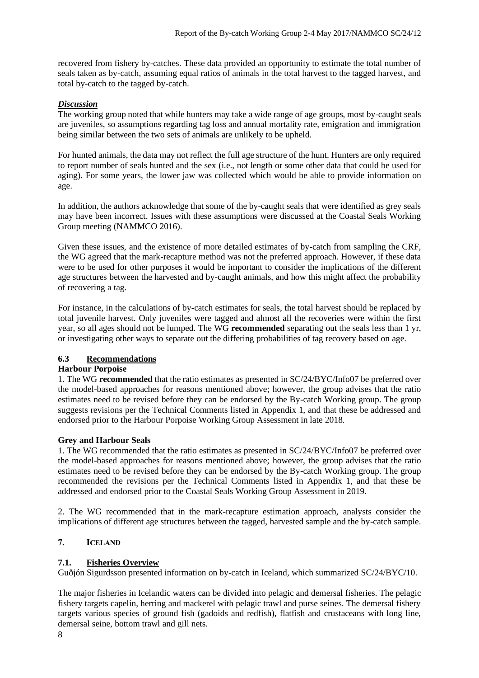recovered from fishery by-catches. These data provided an opportunity to estimate the total number of seals taken as by-catch, assuming equal ratios of animals in the total harvest to the tagged harvest, and total by-catch to the tagged by-catch.

# *Discussion*

The working group noted that while hunters may take a wide range of age groups, most by-caught seals are juveniles, so assumptions regarding tag loss and annual mortality rate, emigration and immigration being similar between the two sets of animals are unlikely to be upheld.

For hunted animals, the data may not reflect the full age structure of the hunt. Hunters are only required to report number of seals hunted and the sex (i.e., not length or some other data that could be used for aging). For some years, the lower jaw was collected which would be able to provide information on age.

In addition, the authors acknowledge that some of the by-caught seals that were identified as grey seals may have been incorrect. Issues with these assumptions were discussed at the Coastal Seals Working Group meeting (NAMMCO 2016).

Given these issues, and the existence of more detailed estimates of by-catch from sampling the CRF, the WG agreed that the mark-recapture method was not the preferred approach. However, if these data were to be used for other purposes it would be important to consider the implications of the different age structures between the harvested and by-caught animals, and how this might affect the probability of recovering a tag.

For instance, in the calculations of by-catch estimates for seals, the total harvest should be replaced by total juvenile harvest. Only juveniles were tagged and almost all the recoveries were within the first year, so all ages should not be lumped. The WG **recommended** separating out the seals less than 1 yr, or investigating other ways to separate out the differing probabilities of tag recovery based on age.

# **6.3 Recommendations**

#### **Harbour Porpoise**

1. The WG **recommended** that the ratio estimates as presented in SC/24/BYC/Info07 be preferred over the model-based approaches for reasons mentioned above; however, the group advises that the ratio estimates need to be revised before they can be endorsed by the By-catch Working group. The group suggests revisions per the Technical Comments listed in Appendix 1, and that these be addressed and endorsed prior to the Harbour Porpoise Working Group Assessment in late 2018.

#### **Grey and Harbour Seals**

1. The WG recommended that the ratio estimates as presented in SC/24/BYC/Info07 be preferred over the model-based approaches for reasons mentioned above; however, the group advises that the ratio estimates need to be revised before they can be endorsed by the By-catch Working group. The group recommended the revisions per the Technical Comments listed in Appendix 1, and that these be addressed and endorsed prior to the Coastal Seals Working Group Assessment in 2019.

2. The WG recommended that in the mark-recapture estimation approach, analysts consider the implications of different age structures between the tagged, harvested sample and the by-catch sample.

# **7. ICELAND**

# **7.1. Fisheries Overview**

Guðjón Sigurdsson presented information on by-catch in Iceland, which summarized SC/24/BYC/10.

The major fisheries in Icelandic waters can be divided into pelagic and demersal fisheries. The pelagic fishery targets capelin, herring and mackerel with pelagic trawl and purse seines. The demersal fishery targets various species of ground fish (gadoids and redfish), flatfish and crustaceans with long line, demersal seine, bottom trawl and gill nets.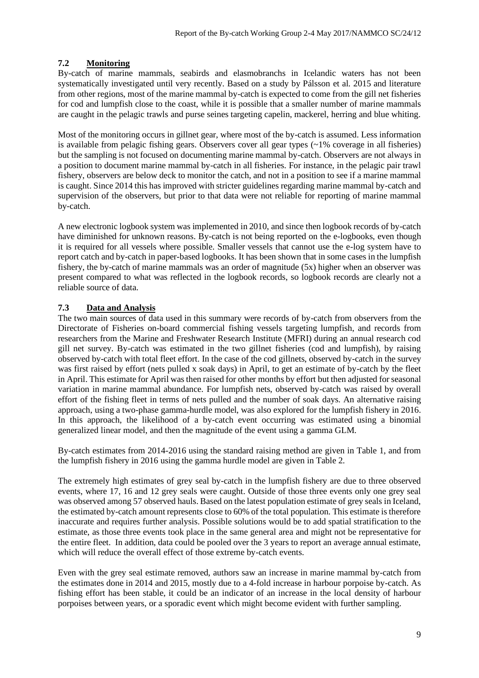#### **7.2 Monitoring**

By-catch of marine mammals, seabirds and elasmobranchs in Icelandic waters has not been systematically investigated until very recently. Based on a study by Pálsson et al. 2015 and literature from other regions, most of the marine mammal by-catch is expected to come from the gill net fisheries for cod and lumpfish close to the coast, while it is possible that a smaller number of marine mammals are caught in the pelagic trawls and purse seines targeting capelin, mackerel, herring and blue whiting.

Most of the monitoring occurs in gillnet gear, where most of the by-catch is assumed. Less information is available from pelagic fishing gears. Observers cover all gear types  $\left(\sim 1\%$  coverage in all fisheries) but the sampling is not focused on documenting marine mammal by-catch. Observers are not always in a position to document marine mammal by-catch in all fisheries. For instance, in the pelagic pair trawl fishery, observers are below deck to monitor the catch, and not in a position to see if a marine mammal is caught. Since 2014 this has improved with stricter guidelines regarding marine mammal by-catch and supervision of the observers, but prior to that data were not reliable for reporting of marine mammal by-catch.

A new electronic logbook system was implemented in 2010, and since then logbook records of by-catch have diminished for unknown reasons. By-catch is not being reported on the e-logbooks, even though it is required for all vessels where possible. Smaller vessels that cannot use the e-log system have to report catch and by-catch in paper-based logbooks. It has been shown that in some cases in the lumpfish fishery, the by-catch of marine mammals was an order of magnitude (5x) higher when an observer was present compared to what was reflected in the logbook records, so logbook records are clearly not a reliable source of data.

#### **7.3 Data and Analysis**

The two main sources of data used in this summary were records of by-catch from observers from the Directorate of Fisheries on-board commercial fishing vessels targeting lumpfish, and records from researchers from the Marine and Freshwater Research Institute (MFRI) during an annual research cod gill net survey. By-catch was estimated in the two gillnet fisheries (cod and lumpfish), by raising observed by-catch with total fleet effort. In the case of the cod gillnets, observed by-catch in the survey was first raised by effort (nets pulled x soak days) in April, to get an estimate of by-catch by the fleet in April. This estimate for April was then raised for other months by effort but then adjusted for seasonal variation in marine mammal abundance. For lumpfish nets, observed by-catch was raised by overall effort of the fishing fleet in terms of nets pulled and the number of soak days. An alternative raising approach, using a two-phase gamma-hurdle model, was also explored for the lumpfish fishery in 2016. In this approach, the likelihood of a by-catch event occurring was estimated using a binomial generalized linear model, and then the magnitude of the event using a gamma GLM.

By-catch estimates from 2014-2016 using the standard raising method are given in Table 1, and from the lumpfish fishery in 2016 using the gamma hurdle model are given in Table 2.

The extremely high estimates of grey seal by-catch in the lumpfish fishery are due to three observed events, where 17, 16 and 12 grey seals were caught. Outside of those three events only one grey seal was observed among 57 observed hauls. Based on the latest population estimate of grey seals in Iceland, the estimated by-catch amount represents close to 60% of the total population. This estimate is therefore inaccurate and requires further analysis. Possible solutions would be to add spatial stratification to the estimate, as those three events took place in the same general area and might not be representative for the entire fleet. In addition, data could be pooled over the 3 years to report an average annual estimate, which will reduce the overall effect of those extreme by-catch events.

Even with the grey seal estimate removed, authors saw an increase in marine mammal by-catch from the estimates done in 2014 and 2015, mostly due to a 4-fold increase in harbour porpoise by-catch. As fishing effort has been stable, it could be an indicator of an increase in the local density of harbour porpoises between years, or a sporadic event which might become evident with further sampling.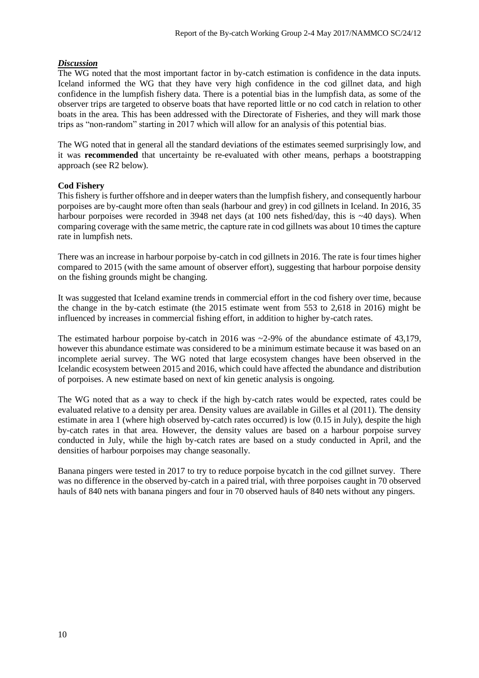#### *Discussion*

The WG noted that the most important factor in by-catch estimation is confidence in the data inputs. Iceland informed the WG that they have very high confidence in the cod gillnet data, and high confidence in the lumpfish fishery data. There is a potential bias in the lumpfish data, as some of the observer trips are targeted to observe boats that have reported little or no cod catch in relation to other boats in the area. This has been addressed with the Directorate of Fisheries, and they will mark those trips as "non-random" starting in 2017 which will allow for an analysis of this potential bias.

The WG noted that in general all the standard deviations of the estimates seemed surprisingly low, and it was **recommended** that uncertainty be re-evaluated with other means, perhaps a bootstrapping approach (see R2 below).

#### **Cod Fishery**

This fishery is further offshore and in deeper waters than the lumpfish fishery, and consequently harbour porpoises are by-caught more often than seals (harbour and grey) in cod gillnets in Iceland. In 2016, 35 harbour porpoises were recorded in 3948 net days (at 100 nets fished/day, this is ~40 days). When comparing coverage with the same metric, the capture rate in cod gillnets was about 10 times the capture rate in lumpfish nets.

There was an increase in harbour porpoise by-catch in cod gillnets in 2016. The rate is four times higher compared to 2015 (with the same amount of observer effort), suggesting that harbour porpoise density on the fishing grounds might be changing.

It was suggested that Iceland examine trends in commercial effort in the cod fishery over time, because the change in the by-catch estimate (the 2015 estimate went from 553 to 2,618 in 2016) might be influenced by increases in commercial fishing effort, in addition to higher by-catch rates.

The estimated harbour porpoise by-catch in 2016 was  $\sim$ 2-9% of the abundance estimate of 43,179, however this abundance estimate was considered to be a minimum estimate because it was based on an incomplete aerial survey. The WG noted that large ecosystem changes have been observed in the Icelandic ecosystem between 2015 and 2016, which could have affected the abundance and distribution of porpoises. A new estimate based on next of kin genetic analysis is ongoing.

The WG noted that as a way to check if the high by-catch rates would be expected, rates could be evaluated relative to a density per area. Density values are available in Gilles et al (2011). The density estimate in area 1 (where high observed by-catch rates occurred) is low (0.15 in July), despite the high by-catch rates in that area. However, the density values are based on a harbour porpoise survey conducted in July, while the high by-catch rates are based on a study conducted in April, and the densities of harbour porpoises may change seasonally.

Banana pingers were tested in 2017 to try to reduce porpoise bycatch in the cod gillnet survey. There was no difference in the observed by-catch in a paired trial, with three porpoises caught in 70 observed hauls of 840 nets with banana pingers and four in 70 observed hauls of 840 nets without any pingers.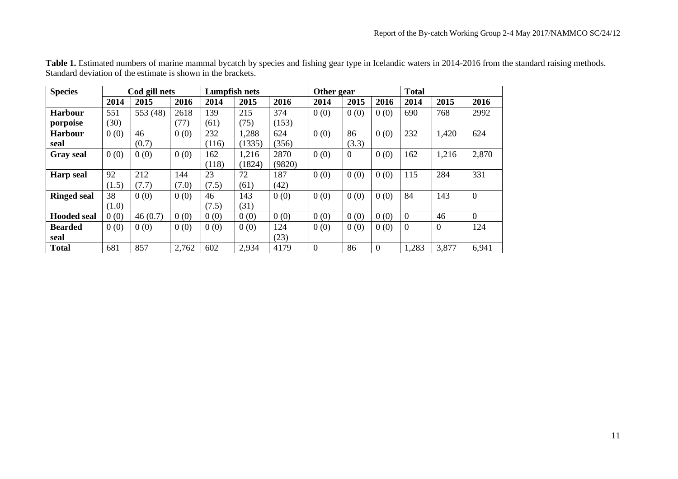| <b>Species</b>     |       | Cod gill nets |       |       | Lumpfish nets |        |          | Other gear     |          | <b>Total</b> |                |                |
|--------------------|-------|---------------|-------|-------|---------------|--------|----------|----------------|----------|--------------|----------------|----------------|
|                    | 2014  | 2015          | 2016  | 2014  | 2015          | 2016   | 2014     | 2015           | 2016     | 2014         | 2015           | 2016           |
| <b>Harbour</b>     | 551   | 553 (48)      | 2618  | 139   | 215           | 374    | 0(0)     | 0(0)           | 0(0)     | 690          | 768            | 2992           |
| porpoise           | (30)  |               | (77)  | (61)  | (75)          | (153)  |          |                |          |              |                |                |
| <b>Harbour</b>     | 0(0)  | 46            | 0(0)  | 232   | 1,288         | 624    | 0(0)     | 86             | 0(0)     | 232          | 1,420          | 624            |
| seal               |       | (0.7)         |       | (116) | (1335)        | (356)  |          | (3.3)          |          |              |                |                |
| <b>Gray</b> seal   | 0(0)  | 0(0)          | 0(0)  | 162   | 1,216         | 2870   | 0(0)     | $\overline{0}$ | 0(0)     | 162          | 1,216          | 2,870          |
|                    |       |               |       | (118) | (1824)        | (9820) |          |                |          |              |                |                |
| <b>Harp</b> seal   | 92    | 212           | 144   | 23    | 72            | 187    | 0(0)     | 0(0)           | 0(0)     | 115          | 284            | 331            |
|                    | (1.5) | (7.7)         | (7.0) | (7.5) | (61)          | (42)   |          |                |          |              |                |                |
| <b>Ringed seal</b> | 38    | 0(0)          | 0(0)  | 46    | 143           | 0(0)   | 0(0)     | 0(0)           | 0(0)     | 84           | 143            | $\overline{0}$ |
|                    | (1.0) |               |       | (7.5) | (31)          |        |          |                |          |              |                |                |
| <b>Hooded seal</b> | 0(0)  | 46(0.7)       | 0(0)  | 0(0)  | 0(0)          | 0(0)   | 0(0)     | 0(0)           | 0(0)     | $\Omega$     | 46             | $\Omega$       |
| <b>Bearded</b>     | 0(0)  | 0(0)          | 0(0)  | 0(0)  | 0(0)          | 124    | 0(0)     | 0(0)           | 0(0)     | $\theta$     | $\overline{0}$ | 124            |
| seal               |       |               |       |       |               | (23)   |          |                |          |              |                |                |
| <b>Total</b>       | 681   | 857           | 2,762 | 602   | 2,934         | 4179   | $\Omega$ | 86             | $\Omega$ | 1,283        | 3,877          | 6,941          |

**Table 1.** Estimated numbers of marine mammal bycatch by species and fishing gear type in Icelandic waters in 2014-2016 from the standard raising methods. Standard deviation of the estimate is shown in the brackets.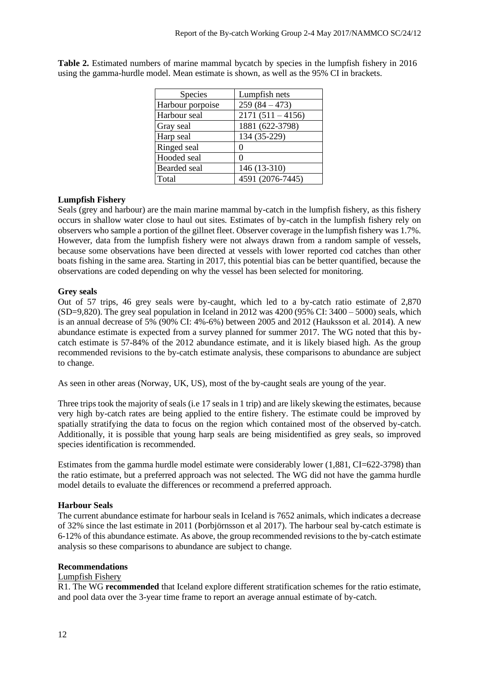| <b>Species</b>   | Lumpfish nets      |
|------------------|--------------------|
| Harbour porpoise | $259(84 - 473)$    |
| Harbour seal     | $2171(511 - 4156)$ |
| Gray seal        | 1881 (622-3798)    |
| Harp seal        | 134 (35-229)       |
| Ringed seal      | 0                  |
| Hooded seal      | 0                  |
| Bearded seal     | 146 (13-310)       |
| Total            | 4591 (2076-7445)   |

**Table 2.** Estimated numbers of marine mammal bycatch by species in the lumpfish fishery in 2016 using the gamma-hurdle model. Mean estimate is shown, as well as the 95% CI in brackets.

# **Lumpfish Fishery**

Seals (grey and harbour) are the main marine mammal by-catch in the lumpfish fishery, as this fishery occurs in shallow water close to haul out sites. Estimates of by-catch in the lumpfish fishery rely on observers who sample a portion of the gillnet fleet. Observer coverage in the lumpfish fishery was 1.7%. However, data from the lumpfish fishery were not always drawn from a random sample of vessels, because some observations have been directed at vessels with lower reported cod catches than other boats fishing in the same area. Starting in 2017, this potential bias can be better quantified, because the observations are coded depending on why the vessel has been selected for monitoring.

#### **Grey seals**

Out of 57 trips, 46 grey seals were by-caught, which led to a by-catch ratio estimate of 2,870  $(SD=9,820)$ . The grey seal population in Iceland in 2012 was 4200 (95% CI: 3400 – 5000) seals, which is an annual decrease of 5% (90% CI: 4%-6%) between 2005 and 2012 (Hauksson et al. 2014). A new abundance estimate is expected from a survey planned for summer 2017. The WG noted that this bycatch estimate is 57-84% of the 2012 abundance estimate, and it is likely biased high. As the group recommended revisions to the by-catch estimate analysis, these comparisons to abundance are subject to change.

As seen in other areas (Norway, UK, US), most of the by-caught seals are young of the year.

Three trips took the majority of seals (i.e 17 seals in 1 trip) and are likely skewing the estimates, because very high by-catch rates are being applied to the entire fishery. The estimate could be improved by spatially stratifying the data to focus on the region which contained most of the observed by-catch. Additionally, it is possible that young harp seals are being misidentified as grey seals, so improved species identification is recommended.

Estimates from the gamma hurdle model estimate were considerably lower (1,881, CI=622-3798) than the ratio estimate, but a preferred approach was not selected. The WG did not have the gamma hurdle model details to evaluate the differences or recommend a preferred approach.

#### **Harbour Seals**

The current abundance estimate for harbour seals in Iceland is 7652 animals, which indicates a decrease of 32% since the last estimate in 2011 (Þorbjörnsson et al 2017). The harbour seal by-catch estimate is 6-12% of this abundance estimate. As above, the group recommended revisions to the by-catch estimate analysis so these comparisons to abundance are subject to change.

#### **Recommendations**

#### Lumpfish Fishery

R1. The WG **recommended** that Iceland explore different stratification schemes for the ratio estimate, and pool data over the 3-year time frame to report an average annual estimate of by-catch.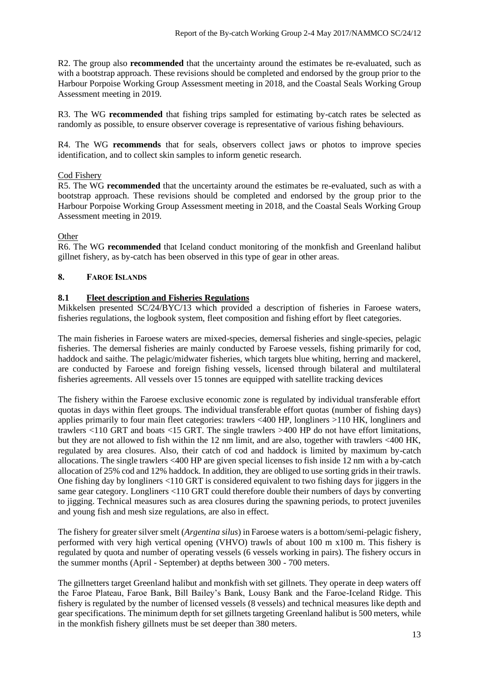R2. The group also **recommended** that the uncertainty around the estimates be re-evaluated, such as with a bootstrap approach. These revisions should be completed and endorsed by the group prior to the Harbour Porpoise Working Group Assessment meeting in 2018, and the Coastal Seals Working Group Assessment meeting in 2019.

R3. The WG **recommended** that fishing trips sampled for estimating by-catch rates be selected as randomly as possible, to ensure observer coverage is representative of various fishing behaviours.

R4. The WG **recommends** that for seals, observers collect jaws or photos to improve species identification, and to collect skin samples to inform genetic research.

# Cod Fishery

R5. The WG **recommended** that the uncertainty around the estimates be re-evaluated, such as with a bootstrap approach. These revisions should be completed and endorsed by the group prior to the Harbour Porpoise Working Group Assessment meeting in 2018, and the Coastal Seals Working Group Assessment meeting in 2019.

#### Other

R6. The WG **recommended** that Iceland conduct monitoring of the monkfish and Greenland halibut gillnet fishery, as by-catch has been observed in this type of gear in other areas.

#### **8. FAROE ISLANDS**

#### **8.1 Fleet description and Fisheries Regulations**

Mikkelsen presented SC/24/BYC/13 which provided a description of fisheries in Faroese waters, fisheries regulations, the logbook system, fleet composition and fishing effort by fleet categories.

The main fisheries in Faroese waters are mixed-species, demersal fisheries and single-species, pelagic fisheries. The demersal fisheries are mainly conducted by Faroese vessels, fishing primarily for cod, haddock and saithe. The pelagic/midwater fisheries, which targets blue whiting, herring and mackerel, are conducted by Faroese and foreign fishing vessels, licensed through bilateral and multilateral fisheries agreements. All vessels over 15 tonnes are equipped with satellite tracking devices

The fishery within the Faroese exclusive economic zone is regulated by individual transferable effort quotas in days within fleet groups. The individual transferable effort quotas (number of fishing days) applies primarily to four main fleet categories: trawlers <400 HP, longliners >110 HK, longliners and trawlers <110 GRT and boats <15 GRT. The single trawlers >400 HP do not have effort limitations, but they are not allowed to fish within the 12 nm limit, and are also, together with trawlers <400 HK, regulated by area closures. Also, their catch of cod and haddock is limited by maximum by-catch allocations. The single trawlers <400 HP are given special licenses to fish inside 12 nm with a by-catch allocation of 25% cod and 12% haddock. In addition, they are obliged to use sorting grids in their trawls. One fishing day by longliners <110 GRT is considered equivalent to two fishing days for jiggers in the same gear category. Longliners <110 GRT could therefore double their numbers of days by converting to jigging. Technical measures such as area closures during the spawning periods, to protect juveniles and young fish and mesh size regulations, are also in effect.

The fishery for greater silver smelt (*Argentina silus*) in Faroese waters is a bottom/semi-pelagic fishery, performed with very high vertical opening (VHVO) trawls of about 100 m x100 m. This fishery is regulated by quota and number of operating vessels (6 vessels working in pairs). The fishery occurs in the summer months (April - September) at depths between 300 - 700 meters.

The gillnetters target Greenland halibut and monkfish with set gillnets. They operate in deep waters off the Faroe Plateau, Faroe Bank, Bill Bailey's Bank, Lousy Bank and the Faroe-Iceland Ridge. This fishery is regulated by the number of licensed vessels (8 vessels) and technical measures like depth and gear specifications. The minimum depth for set gillnets targeting Greenland halibut is 500 meters, while in the monkfish fishery gillnets must be set deeper than 380 meters.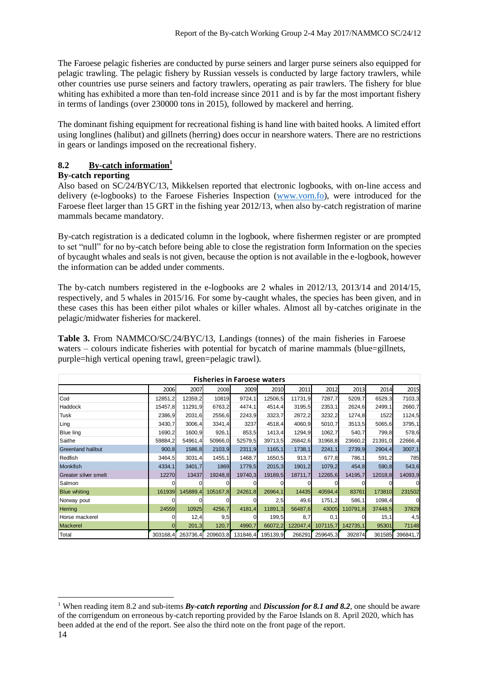The Faroese pelagic fisheries are conducted by purse seiners and larger purse seiners also equipped for pelagic trawling. The pelagic fishery by Russian vessels is conducted by large factory trawlers, while other countries use purse seiners and factory trawlers, operating as pair trawlers. The fishery for blue whiting has exhibited a more than ten-fold increase since 2011 and is by far the most important fishery in terms of landings (over 230000 tons in 2015), followed by mackerel and herring.

The dominant fishing equipment for recreational fishing is hand line with baited hooks. A limited effort using longlines (halibut) and gillnets (herring) does occur in nearshore waters. There are no restrictions in gears or landings imposed on the recreational fishery.

# **8.2 By-catch information<sup>1</sup>**

#### **By-catch reporting**

Also based on SC/24/BYC/13, Mikkelsen reported that electronic logbooks, with on-line access and delivery (e-logbooks) to the Faroese Fisheries Inspection [\(www.vorn.fo\)](http://www.vorn.fo/), were introduced for the Faroese fleet larger than 15 GRT in the fishing year 2012/13, when also by-catch registration of marine mammals became mandatory.

By-catch registration is a dedicated column in the logbook, where fishermen register or are prompted to set "null" for no by-catch before being able to close the registration form Information on the species of bycaught whales and seals is not given, because the option is not available in the e-logbook, however the information can be added under comments.

The by-catch numbers registered in the e-logbooks are 2 whales in 2012/13, 2013/14 and 2014/15, respectively, and 5 whales in 2015/16. For some by-caught whales, the species has been given, and in these cases this has been either pilot whales or killer whales. Almost all by-catches originate in the pelagic/midwater fisheries for mackerel.

**Table 3.** From NAMMCO/SC/24/BYC/13, Landings (tonnes) of the main fisheries in Faroese waters – colours indicate fisheries with potential for bycatch of marine mammals (blue=gillnets, purple=high vertical opening trawl, green=pelagic trawl).

| <b>Fisheries in Faroese waters</b> |          |          |          |          |          |          |          |          |         |          |
|------------------------------------|----------|----------|----------|----------|----------|----------|----------|----------|---------|----------|
|                                    | 2006     | 2007     | 2008     | 2009     | 2010     | 2011     | 2012     | 2013     | 2014    | 2015     |
| Cod                                | 12851,2  | 12359,2  | 10819    | 9724,1   | 12506,5  | 11731,9  | 7287,7   | 5209,7   | 6529,3  | 7103,3   |
| Haddock                            | 15457.8  | 11291,9  | 6763,2   | 4474,1   | 4514,4   | 3195,5   | 2353,1   | 2624,6   | 2499,1  | 2660,7   |
| Tusk                               | 2386,9   | 2031,6   | 2556,6   | 2243,9   | 3323,7   | 2872,2   | 3232,2   | 1274,8   | 1522    | 1124,5   |
| Ling                               | 3430,7   | 3006,4   | 3341,4   | 3237     | 4518,4   | 4060,9   | 5010,7   | 3513,5   | 5065,6  | 3795,1   |
| <b>Blue ling</b>                   | 1690,2   | 1600,9   | 926,1    | 853,5    | 1413,4   | 1294,9   | 1062,7   | 540,7    | 799,8   | 578,6    |
| Saithe                             | 59884,2  | 54961,4  | 50966,0  | 52579.5  | 39713,5  | 26842,6  | 31968,8  | 23660,2  | 21391,0 | 22666,4  |
| <b>Greenland halibut</b>           | 900,8    | 1586,8   | 2103,9   | 2311,9   | 1165,1   | 1738,1   | 2241,1   | 2739,9   | 2904,4  | 3007,1   |
| Redfish                            | 3464,5   | 3031,4   | 1455,1   | 1468,7   | 1650,5   | 913,7    | 677,8    | 786,1    | 591,2   | 785      |
| <b>Monkfish</b>                    | 4334,1   | 3401,7   | 1869     | 1779,5   | 2015,3   | 1901,2   | 1079,2   | 454,8    | 590,8   | 543,6    |
| Greater silver smelt               | 12270    | 13437    | 19248,8  | 19740,3  | 19189,5  | 18711,7  | 12265,6  | 14195,7  | 12018,8 | 14093,9  |
| Salmon                             |          |          |          |          |          |          |          |          |         |          |
| <b>Blue whiting</b>                | 161939   | 145889,4 | 105167,8 | 24261,8  | 26964,1  | 14435    | 40594,4  | 83761    | 173810  | 231502   |
| Norway pout                        |          |          |          |          | 2,5      | 49,6     | 1751,2   | 586,1    | 1098,4  |          |
| <b>Herring</b>                     | 24559    | 10925    | 4256,7   | 4181,4   | 11891,3  | 56487,6  | 43005    | 110791.8 | 37448,5 | 37829    |
| Horse mackerel                     |          | 12,4     | 9,5      |          | 199,5    | 8,7      | 0, 1     |          | 15,1    | 4,5      |
| <b>Mackerel</b>                    |          | 201,3    | 120,7    | 4990,7   | 66072,2  | 122047,4 | 107115,7 | 142735,1 | 95301   | 71148    |
| Total                              | 303168.4 | 263736,4 | 209603,8 | 131846,4 | 195139,9 | 266291   | 259645,3 | 392874   | 361585  | 396841,7 |

<sup>1</sup> When reading item 8.2 and sub-items *By-catch reporting* and *Discussion for 8.1 and 8.2*, one should be aware of the corrigendum on erroneous by-catch reporting provided by the Faroe Islands on 8. April 2020, which has been added at the end of the report. See also the third note on the front page of the report.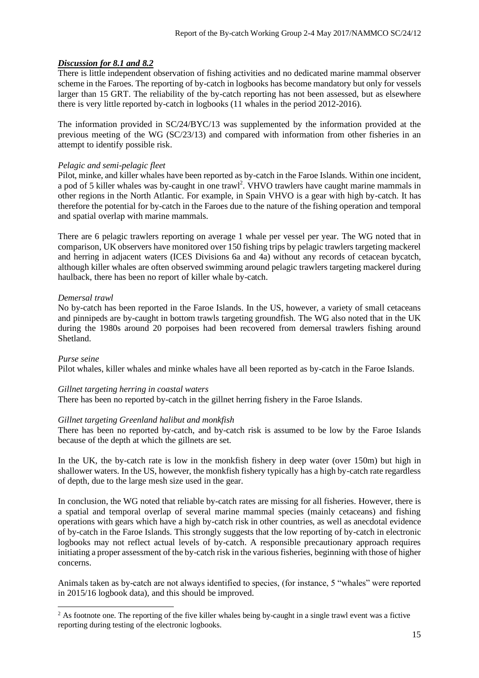#### *Discussion for 8.1 and 8.2*

There is little independent observation of fishing activities and no dedicated marine mammal observer scheme in the Faroes. The reporting of by-catch in logbooks has become mandatory but only for vessels larger than 15 GRT. The reliability of the by-catch reporting has not been assessed, but as elsewhere there is very little reported by-catch in logbooks (11 whales in the period 2012-2016).

The information provided in SC/24/BYC/13 was supplemented by the information provided at the previous meeting of the WG (SC/23/13) and compared with information from other fisheries in an attempt to identify possible risk.

#### *Pelagic and semi-pelagic fleet*

Pilot, minke, and killer whales have been reported as by-catch in the Faroe Islands. Within one incident, a pod of 5 killer whales was by-caught in one trawl<sup>2</sup>. VHVO trawlers have caught marine mammals in other regions in the North Atlantic. For example, in Spain VHVO is a gear with high by-catch. It has therefore the potential for by-catch in the Faroes due to the nature of the fishing operation and temporal and spatial overlap with marine mammals.

There are 6 pelagic trawlers reporting on average 1 whale per vessel per year. The WG noted that in comparison, UK observers have monitored over 150 fishing trips by pelagic trawlers targeting mackerel and herring in adjacent waters (ICES Divisions 6a and 4a) without any records of cetacean bycatch, although killer whales are often observed swimming around pelagic trawlers targeting mackerel during haulback, there has been no report of killer whale by-catch.

#### *Demersal trawl*

No by-catch has been reported in the Faroe Islands. In the US, however, a variety of small cetaceans and pinnipeds are by-caught in bottom trawls targeting groundfish. The WG also noted that in the UK during the 1980s around 20 porpoises had been recovered from demersal trawlers fishing around Shetland.

#### *Purse seine*

Pilot whales, killer whales and minke whales have all been reported as by-catch in the Faroe Islands.

#### *Gillnet targeting herring in coastal waters*

There has been no reported by-catch in the gillnet herring fishery in the Faroe Islands.

#### *Gillnet targeting Greenland halibut and monkfish*

There has been no reported by-catch, and by-catch risk is assumed to be low by the Faroe Islands because of the depth at which the gillnets are set.

In the UK, the by-catch rate is low in the monkfish fishery in deep water (over 150m) but high in shallower waters. In the US, however, the monkfish fishery typically has a high by-catch rate regardless of depth, due to the large mesh size used in the gear.

In conclusion, the WG noted that reliable by-catch rates are missing for all fisheries. However, there is a spatial and temporal overlap of several marine mammal species (mainly cetaceans) and fishing operations with gears which have a high by-catch risk in other countries, as well as anecdotal evidence of by-catch in the Faroe Islands. This strongly suggests that the low reporting of by-catch in electronic logbooks may not reflect actual levels of by-catch. A responsible precautionary approach requires initiating a proper assessment of the by-catch risk in the various fisheries, beginning with those of higher concerns.

Animals taken as by-catch are not always identified to species, (for instance, 5 "whales" were reported in 2015/16 logbook data), and this should be improved.

<sup>&</sup>lt;sup>2</sup> As footnote one. The reporting of the five killer whales being by-caught in a single trawl event was a fictive reporting during testing of the electronic logbooks.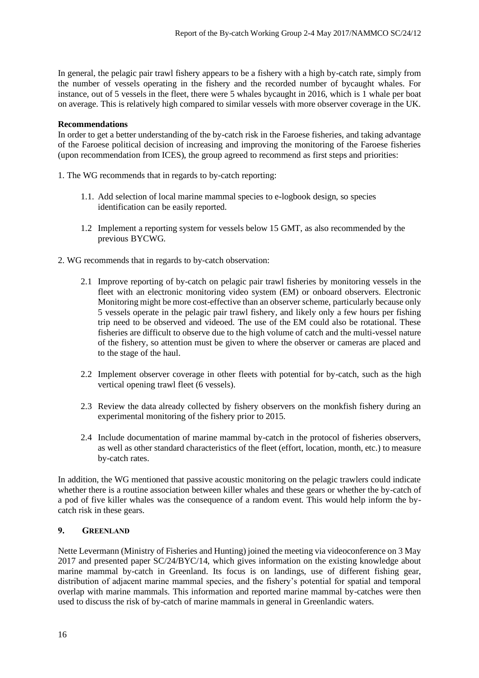In general, the pelagic pair trawl fishery appears to be a fishery with a high by-catch rate, simply from the number of vessels operating in the fishery and the recorded number of bycaught whales. For instance, out of 5 vessels in the fleet, there were 5 whales bycaught in 2016, which is 1 whale per boat on average. This is relatively high compared to similar vessels with more observer coverage in the UK.

#### **Recommendations**

In order to get a better understanding of the by-catch risk in the Faroese fisheries, and taking advantage of the Faroese political decision of increasing and improving the monitoring of the Faroese fisheries (upon recommendation from ICES), the group agreed to recommend as first steps and priorities:

- 1. The WG recommends that in regards to by-catch reporting:
	- 1.1. Add selection of local marine mammal species to e-logbook design, so species identification can be easily reported.
	- 1.2 Implement a reporting system for vessels below 15 GMT, as also recommended by the previous BYCWG.
- 2. WG recommends that in regards to by-catch observation:
	- 2.1 Improve reporting of by-catch on pelagic pair trawl fisheries by monitoring vessels in the fleet with an electronic monitoring video system (EM) or onboard observers. Electronic Monitoring might be more cost-effective than an observer scheme, particularly because only 5 vessels operate in the pelagic pair trawl fishery, and likely only a few hours per fishing trip need to be observed and videoed. The use of the EM could also be rotational. These fisheries are difficult to observe due to the high volume of catch and the multi-vessel nature of the fishery, so attention must be given to where the observer or cameras are placed and to the stage of the haul.
	- 2.2 Implement observer coverage in other fleets with potential for by-catch, such as the high vertical opening trawl fleet (6 vessels).
	- 2.3 Review the data already collected by fishery observers on the monkfish fishery during an experimental monitoring of the fishery prior to 2015.
	- 2.4 Include documentation of marine mammal by-catch in the protocol of fisheries observers, as well as other standard characteristics of the fleet (effort, location, month, etc.) to measure by-catch rates.

In addition, the WG mentioned that passive acoustic monitoring on the pelagic trawlers could indicate whether there is a routine association between killer whales and these gears or whether the by-catch of a pod of five killer whales was the consequence of a random event. This would help inform the bycatch risk in these gears.

#### **9. GREENLAND**

Nette Levermann (Ministry of Fisheries and Hunting) joined the meeting via videoconference on 3 May 2017 and presented paper SC/24/BYC/14, which gives information on the existing knowledge about marine mammal by-catch in Greenland. Its focus is on landings, use of different fishing gear, distribution of adjacent marine mammal species, and the fishery's potential for spatial and temporal overlap with marine mammals. This information and reported marine mammal by-catches were then used to discuss the risk of by-catch of marine mammals in general in Greenlandic waters.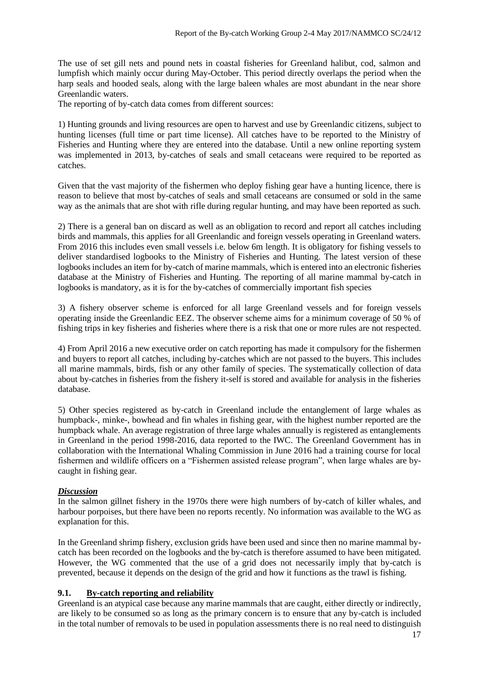The use of set gill nets and pound nets in coastal fisheries for Greenland halibut, cod, salmon and lumpfish which mainly occur during May-October. This period directly overlaps the period when the harp seals and hooded seals, along with the large baleen whales are most abundant in the near shore Greenlandic waters.

The reporting of by-catch data comes from different sources:

1) Hunting grounds and living resources are open to harvest and use by Greenlandic citizens, subject to hunting licenses (full time or part time license). All catches have to be reported to the Ministry of Fisheries and Hunting where they are entered into the database. Until a new online reporting system was implemented in 2013, by-catches of seals and small cetaceans were required to be reported as catches.

Given that the vast majority of the fishermen who deploy fishing gear have a hunting licence, there is reason to believe that most by-catches of seals and small cetaceans are consumed or sold in the same way as the animals that are shot with rifle during regular hunting, and may have been reported as such.

2) There is a general ban on discard as well as an obligation to record and report all catches including birds and mammals, this applies for all Greenlandic and foreign vessels operating in Greenland waters. From 2016 this includes even small vessels i.e. below 6m length. It is obligatory for fishing vessels to deliver standardised logbooks to the Ministry of Fisheries and Hunting. The latest version of these logbooks includes an item for by-catch of marine mammals, which is entered into an electronic fisheries database at the Ministry of Fisheries and Hunting. The reporting of all marine mammal by-catch in logbooks is mandatory, as it is for the by-catches of commercially important fish species

3) A fishery observer scheme is enforced for all large Greenland vessels and for foreign vessels operating inside the Greenlandic EEZ. The observer scheme aims for a minimum coverage of 50 % of fishing trips in key fisheries and fisheries where there is a risk that one or more rules are not respected.

4) From April 2016 a new executive order on catch reporting has made it compulsory for the fishermen and buyers to report all catches, including by-catches which are not passed to the buyers. This includes all marine mammals, birds, fish or any other family of species. The systematically collection of data about by-catches in fisheries from the fishery it-self is stored and available for analysis in the fisheries database.

5) Other species registered as by-catch in Greenland include the entanglement of large whales as humpback-, minke-, bowhead and fin whales in fishing gear, with the highest number reported are the humpback whale. An average registration of three large whales annually is registered as entanglements in Greenland in the period 1998-2016, data reported to the IWC. The Greenland Government has in collaboration with the International Whaling Commission in June 2016 had a training course for local fishermen and wildlife officers on a "Fishermen assisted release program", when large whales are bycaught in fishing gear.

#### *Discussion*

In the salmon gillnet fishery in the 1970s there were high numbers of by-catch of killer whales, and harbour porpoises, but there have been no reports recently. No information was available to the WG as explanation for this.

In the Greenland shrimp fishery, exclusion grids have been used and since then no marine mammal bycatch has been recorded on the logbooks and the by-catch is therefore assumed to have been mitigated. However, the WG commented that the use of a grid does not necessarily imply that by-catch is prevented, because it depends on the design of the grid and how it functions as the trawl is fishing.

#### **9.1. By-catch reporting and reliability**

Greenland is an atypical case because any marine mammals that are caught, either directly or indirectly, are likely to be consumed so as long as the primary concern is to ensure that any by-catch is included in the total number of removals to be used in population assessments there is no real need to distinguish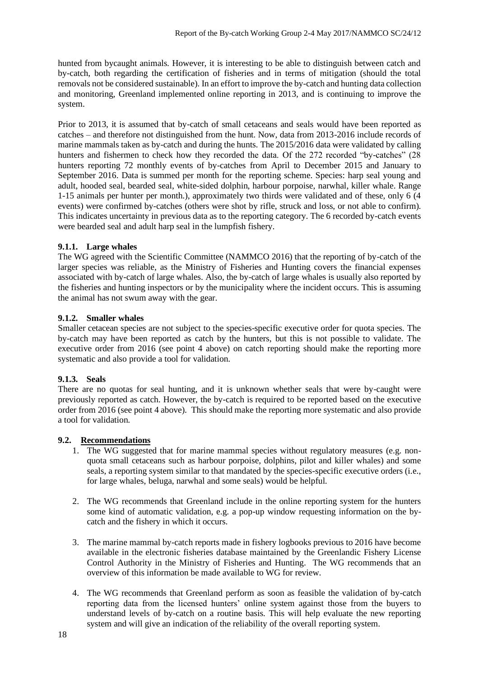hunted from bycaught animals. However, it is interesting to be able to distinguish between catch and by-catch, both regarding the certification of fisheries and in terms of mitigation (should the total removals not be considered sustainable). In an effort to improve the by-catch and hunting data collection and monitoring, Greenland implemented online reporting in 2013, and is continuing to improve the system.

Prior to 2013, it is assumed that by-catch of small cetaceans and seals would have been reported as catches – and therefore not distinguished from the hunt. Now, data from 2013-2016 include records of marine mammals taken as by-catch and during the hunts. The 2015/2016 data were validated by calling hunters and fishermen to check how they recorded the data. Of the 272 recorded "by-catches" (28 hunters reporting 72 monthly events of by-catches from April to December 2015 and January to September 2016. Data is summed per month for the reporting scheme. Species: harp seal young and adult, hooded seal, bearded seal, white-sided dolphin, harbour porpoise, narwhal, killer whale. Range 1-15 animals per hunter per month.), approximately two thirds were validated and of these, only 6 (4 events) were confirmed by-catches (others were shot by rifle, struck and loss, or not able to confirm). This indicates uncertainty in previous data as to the reporting category. The 6 recorded by-catch events were bearded seal and adult harp seal in the lumpfish fishery.

#### **9.1.1. Large whales**

The WG agreed with the Scientific Committee (NAMMCO 2016) that the reporting of by-catch of the larger species was reliable, as the Ministry of Fisheries and Hunting covers the financial expenses associated with by-catch of large whales. Also, the by-catch of large whales is usually also reported by the fisheries and hunting inspectors or by the municipality where the incident occurs. This is assuming the animal has not swum away with the gear.

#### **9.1.2. Smaller whales**

Smaller cetacean species are not subject to the species-specific executive order for quota species. The by-catch may have been reported as catch by the hunters, but this is not possible to validate. The executive order from 2016 (see point 4 above) on catch reporting should make the reporting more systematic and also provide a tool for validation.

#### **9.1.3. Seals**

There are no quotas for seal hunting, and it is unknown whether seals that were by-caught were previously reported as catch. However, the by-catch is required to be reported based on the executive order from 2016 (see point 4 above). This should make the reporting more systematic and also provide a tool for validation.

#### **9.2. Recommendations**

- 1. The WG suggested that for marine mammal species without regulatory measures (e.g. nonquota small cetaceans such as harbour porpoise, dolphins, pilot and killer whales) and some seals, a reporting system similar to that mandated by the species-specific executive orders (i.e., for large whales, beluga, narwhal and some seals) would be helpful.
- 2. The WG recommends that Greenland include in the online reporting system for the hunters some kind of automatic validation, e.g. a pop-up window requesting information on the bycatch and the fishery in which it occurs.
- 3. The marine mammal by-catch reports made in fishery logbooks previous to 2016 have become available in the electronic fisheries database maintained by the Greenlandic Fishery License Control Authority in the Ministry of Fisheries and Hunting. The WG recommends that an overview of this information be made available to WG for review.
- 4. The WG recommends that Greenland perform as soon as feasible the validation of by-catch reporting data from the licensed hunters' online system against those from the buyers to understand levels of by-catch on a routine basis. This will help evaluate the new reporting system and will give an indication of the reliability of the overall reporting system.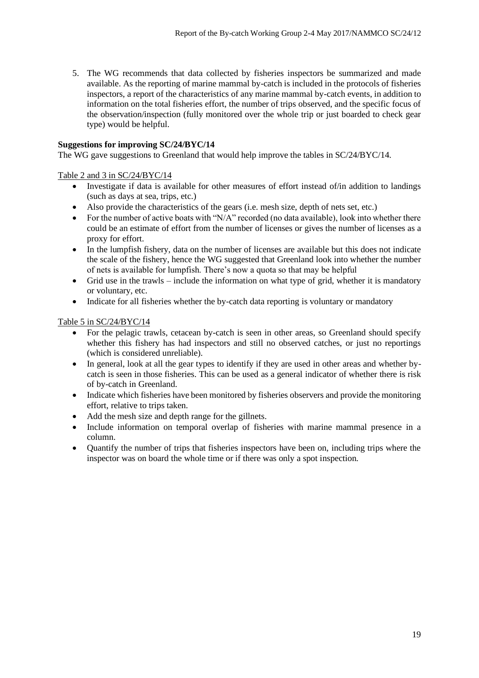5. The WG recommends that data collected by fisheries inspectors be summarized and made available. As the reporting of marine mammal by-catch is included in the protocols of fisheries inspectors, a report of the characteristics of any marine mammal by-catch events, in addition to information on the total fisheries effort, the number of trips observed, and the specific focus of the observation/inspection (fully monitored over the whole trip or just boarded to check gear type) would be helpful.

#### **Suggestions for improving SC/24/BYC/14**

The WG gave suggestions to Greenland that would help improve the tables in SC/24/BYC/14.

#### Table 2 and 3 in SC/24/BYC/14

- Investigate if data is available for other measures of effort instead of/in addition to landings (such as days at sea, trips, etc.)
- Also provide the characteristics of the gears (i.e. mesh size, depth of nets set, etc.)
- For the number of active boats with "N/A" recorded (no data available), look into whether there could be an estimate of effort from the number of licenses or gives the number of licenses as a proxy for effort.
- In the lumpfish fishery, data on the number of licenses are available but this does not indicate the scale of the fishery, hence the WG suggested that Greenland look into whether the number of nets is available for lumpfish. There's now a quota so that may be helpful
- Grid use in the trawls include the information on what type of grid, whether it is mandatory or voluntary, etc.
- Indicate for all fisheries whether the by-catch data reporting is voluntary or mandatory

#### Table 5 in SC/24/BYC/14

- For the pelagic trawls, cetacean by-catch is seen in other areas, so Greenland should specify whether this fishery has had inspectors and still no observed catches, or just no reportings (which is considered unreliable).
- In general, look at all the gear types to identify if they are used in other areas and whether bycatch is seen in those fisheries. This can be used as a general indicator of whether there is risk of by-catch in Greenland.
- Indicate which fisheries have been monitored by fisheries observers and provide the monitoring effort, relative to trips taken.
- Add the mesh size and depth range for the gillnets.
- Include information on temporal overlap of fisheries with marine mammal presence in a column.
- Quantify the number of trips that fisheries inspectors have been on, including trips where the inspector was on board the whole time or if there was only a spot inspection.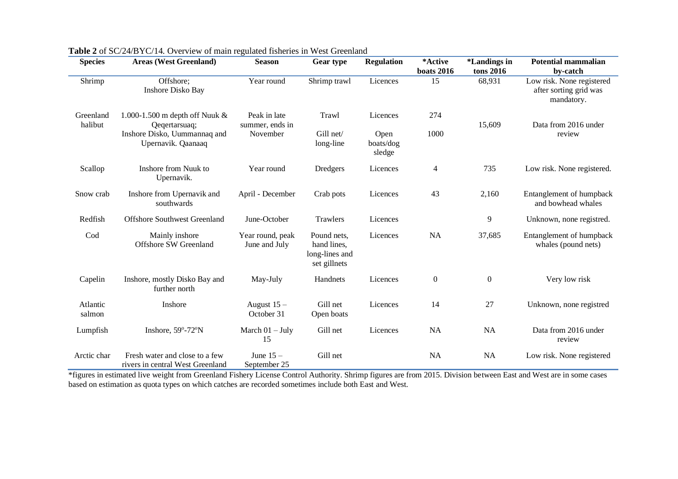| <b>Species</b>       | <b>Areas (West Greenland)</b>                                      | <b>Season</b>                     | Gear type                                                    | <b>Regulation</b>           | *Active<br><b>boats 2016</b> | <i>*Landings in</i><br>tons 2016 | <b>Potential mammalian</b><br>by-catch                            |
|----------------------|--------------------------------------------------------------------|-----------------------------------|--------------------------------------------------------------|-----------------------------|------------------------------|----------------------------------|-------------------------------------------------------------------|
| Shrimp               | Offshore;<br>Inshore Disko Bay                                     | Year round                        | Shrimp trawl                                                 | Licences                    | 15                           | 68,931                           | Low risk. None registered<br>after sorting grid was<br>mandatory. |
| Greenland<br>halibut | 1.000-1.500 m depth off Nuuk &<br>Qeqertarsuaq;                    | Peak in late<br>summer, ends in   | Trawl                                                        | Licences                    | 274                          | 15,609                           | Data from 2016 under                                              |
|                      | Inshore Disko, Uummannaq and<br>Upernavik. Qaanaaq                 | November                          | Gill net/<br>long-line                                       | Open<br>boats/dog<br>sledge | 1000                         |                                  | review                                                            |
| Scallop              | Inshore from Nuuk to<br>Upernavik.                                 | Year round                        | Dredgers                                                     | Licences                    | $\overline{4}$               | 735                              | Low risk. None registered.                                        |
| Snow crab            | Inshore from Upernavik and<br>southwards                           | April - December                  | Crab pots                                                    | Licences                    | 43                           | 2,160                            | Entanglement of humpback<br>and bowhead whales                    |
| Redfish              | <b>Offshore Southwest Greenland</b>                                | June-October                      | <b>Trawlers</b>                                              | Licences                    |                              | 9                                | Unknown, none registred.                                          |
| Cod                  | Mainly inshore<br><b>Offshore SW Greenland</b>                     | Year round, peak<br>June and July | Pound nets,<br>hand lines,<br>long-lines and<br>set gillnets | Licences                    | <b>NA</b>                    | 37,685                           | Entanglement of humpback<br>whales (pound nets)                   |
| Capelin              | Inshore, mostly Disko Bay and<br>further north                     | May-July                          | Handnets                                                     | Licences                    | $\boldsymbol{0}$             | $\mathbf{0}$                     | Very low risk                                                     |
| Atlantic<br>salmon   | Inshore                                                            | August 15 -<br>October 31         | Gill net<br>Open boats                                       | Licences                    | 14                           | $27\,$                           | Unknown, none registred                                           |
| Lumpfish             | Inshore, 59°-72°N                                                  | March $01 - July$<br>15           | Gill net                                                     | Licences                    | <b>NA</b>                    | <b>NA</b>                        | Data from 2016 under<br>review                                    |
| Arctic char          | Fresh water and close to a few<br>rivers in central West Greenland | June $15-$<br>September 25        | Gill net                                                     |                             | <b>NA</b>                    | <b>NA</b>                        | Low risk. None registered                                         |

**Table 2** of SC/24/BYC/14. Overview of main regulated fisheries in West Greenland

\*figures in estimated live weight from Greenland Fishery License Control Authority. Shrimp figures are from 2015. Division between East and West are in some cases based on estimation as quota types on which catches are recorded sometimes include both East and West.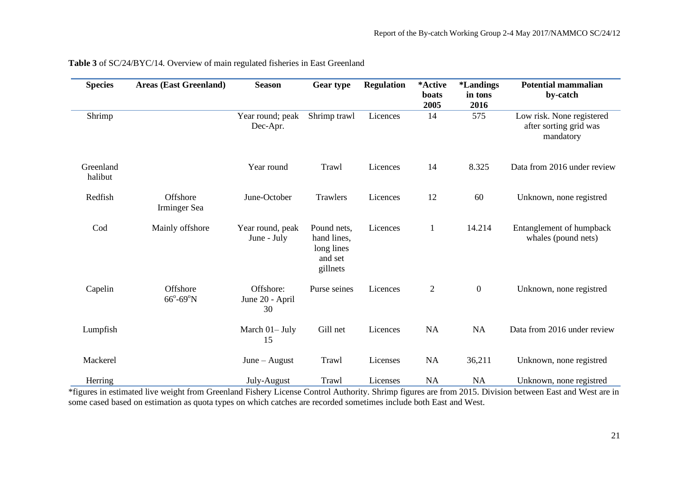| <b>Species</b>       | <b>Areas (East Greenland)</b>           | <b>Season</b>                      | Gear type                                                       | <b>Regulation</b> | *Active<br>boats<br>2005 | <i><b>*Landings</b></i><br>in tons<br>2016 | <b>Potential mammalian</b><br>by-catch                           |
|----------------------|-----------------------------------------|------------------------------------|-----------------------------------------------------------------|-------------------|--------------------------|--------------------------------------------|------------------------------------------------------------------|
| Shrimp               |                                         | Year round; peak<br>Dec-Apr.       | Shrimp trawl                                                    | Licences          | 14                       | 575                                        | Low risk. None registered<br>after sorting grid was<br>mandatory |
| Greenland<br>halibut |                                         | Year round                         | Trawl                                                           | Licences          | 14                       | 8.325                                      | Data from 2016 under review                                      |
| Redfish              | Offshore<br>Irminger Sea                | June-October                       | Trawlers                                                        | Licences          | 12                       | 60                                         | Unknown, none registred                                          |
| Cod                  | Mainly offshore                         | Year round, peak<br>June - July    | Pound nets,<br>hand lines,<br>long lines<br>and set<br>gillnets | Licences          | $\mathbf{1}$             | 14.214                                     | Entanglement of humpback<br>whales (pound nets)                  |
| Capelin              | Offshore<br>$66^{\circ} - 69^{\circ}$ N | Offshore:<br>June 20 - April<br>30 | Purse seines                                                    | Licences          | $\overline{2}$           | $\overline{0}$                             | Unknown, none registred                                          |
| Lumpfish             |                                         | March 01-July<br>15                | Gill net                                                        | Licences          | <b>NA</b>                | NA                                         | Data from 2016 under review                                      |
| Mackerel             |                                         | June $-$ August                    | Trawl                                                           | Licenses          | NA                       | 36,211                                     | Unknown, none registred                                          |
| Herring              |                                         | July-August                        | Trawl                                                           | Licenses          | <b>NA</b>                | <b>NA</b>                                  | Unknown, none registred                                          |

## **Table 3** of SC/24/BYC/14. Overview of main regulated fisheries in East Greenland

\*figures in estimated live weight from Greenland Fishery License Control Authority. Shrimp figures are from 2015. Division between East and West are in some cased based on estimation as quota types on which catches are recorded sometimes include both East and West.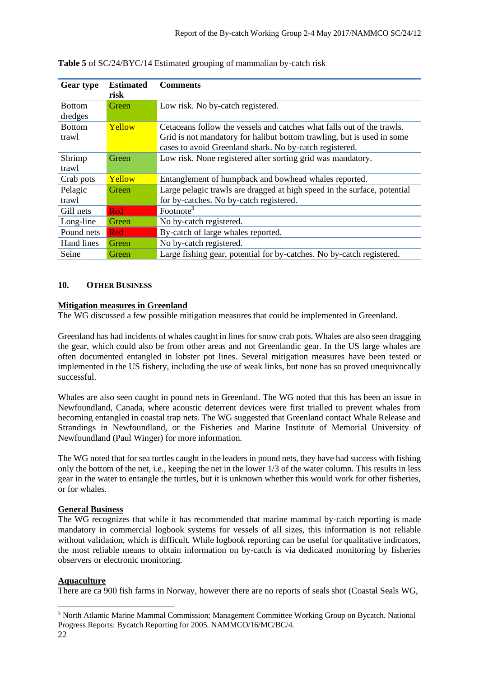| <b>Gear type</b> | <b>Estimated</b><br>risk | <b>Comments</b>                                                          |
|------------------|--------------------------|--------------------------------------------------------------------------|
| <b>Bottom</b>    | Green                    | Low risk. No by-catch registered.                                        |
| dredges          |                          |                                                                          |
| <b>Bottom</b>    | Yellow                   | Cetaceans follow the vessels and catches what falls out of the trawls.   |
| trawl            |                          | Grid is not mandatory for halibut bottom trawling, but is used in some   |
|                  |                          | cases to avoid Greenland shark. No by-catch registered.                  |
| Shrimp           | Green                    | Low risk. None registered after sorting grid was mandatory.              |
| trawl            |                          |                                                                          |
| Crab pots        | Yellow                   | Entanglement of humpback and bowhead whales reported.                    |
| Pelagic          | Green                    | Large pelagic trawls are dragged at high speed in the surface, potential |
| trawl            |                          | for by-catches. No by-catch registered.                                  |
| Gill nets        | Red                      | Footnote <sup>3</sup>                                                    |
| Long-line        | Green                    | No by-catch registered.                                                  |
| Pound nets       | Red                      | By-catch of large whales reported.                                       |
| Hand lines       | Green                    | No by-catch registered.                                                  |
| Seine            | Green                    | Large fishing gear, potential for by-catches. No by-catch registered.    |

|  |  |  |  |  |  |  | Table 5 of SC/24/BYC/14 Estimated grouping of mammalian by-catch risk |
|--|--|--|--|--|--|--|-----------------------------------------------------------------------|
|--|--|--|--|--|--|--|-----------------------------------------------------------------------|

#### **10. OTHER BUSINESS**

#### **Mitigation measures in Greenland**

The WG discussed a few possible mitigation measures that could be implemented in Greenland.

Greenland has had incidents of whales caught in lines for snow crab pots. Whales are also seen dragging the gear, which could also be from other areas and not Greenlandic gear. In the US large whales are often documented entangled in lobster pot lines. Several mitigation measures have been tested or implemented in the US fishery, including the use of weak links, but none has so proved unequivocally successful.

Whales are also seen caught in pound nets in Greenland. The WG noted that this has been an issue in Newfoundland, Canada, where acoustic deterrent devices were first trialled to prevent whales from becoming entangled in coastal trap nets. The WG suggested that Greenland contact Whale Release and Strandings in Newfoundland, or the Fisheries and Marine Institute of Memorial University of Newfoundland (Paul Winger) for more information.

The WG noted that for sea turtles caught in the leaders in pound nets, they have had success with fishing only the bottom of the net, i.e., keeping the net in the lower 1/3 of the water column. This results in less gear in the water to entangle the turtles, but it is unknown whether this would work for other fisheries, or for whales.

# **General Business**

The WG recognizes that while it has recommended that marine mammal by-catch reporting is made mandatory in commercial logbook systems for vessels of all sizes, this information is not reliable without validation, which is difficult. While logbook reporting can be useful for qualitative indicators, the most reliable means to obtain information on by-catch is via dedicated monitoring by fisheries observers or electronic monitoring.

#### **Aquaculture**

There are ca 900 fish farms in Norway, however there are no reports of seals shot (Coastal Seals WG,

<sup>22</sup> <sup>3</sup> North Atlantic Marine Mammal Commission; Management Committee Working Group on Bycatch. National Progress Reports: Bycatch Reporting for 2005. NAMMCO/16/MC/BC/4.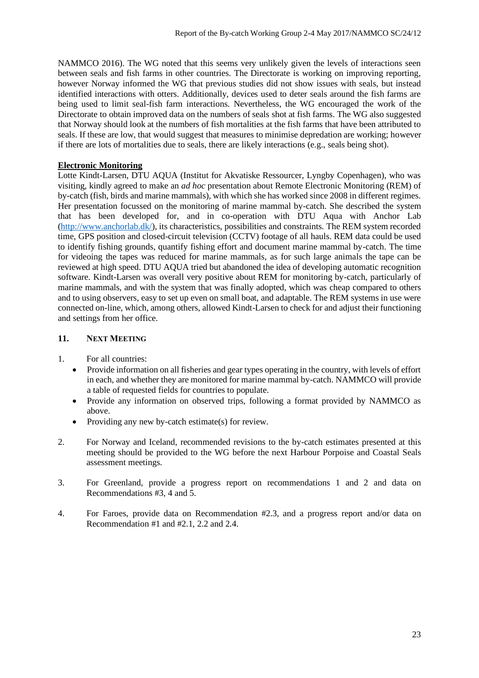NAMMCO 2016). The WG noted that this seems very unlikely given the levels of interactions seen between seals and fish farms in other countries. The Directorate is working on improving reporting, however Norway informed the WG that previous studies did not show issues with seals, but instead identified interactions with otters. Additionally, devices used to deter seals around the fish farms are being used to limit seal-fish farm interactions. Nevertheless, the WG encouraged the work of the Directorate to obtain improved data on the numbers of seals shot at fish farms. The WG also suggested that Norway should look at the numbers of fish mortalities at the fish farms that have been attributed to seals. If these are low, that would suggest that measures to minimise depredation are working; however if there are lots of mortalities due to seals, there are likely interactions (e.g., seals being shot).

#### **Electronic Monitoring**

Lotte Kindt-Larsen, DTU AQUA (Institut for Akvatiske Ressourcer, Lyngby Copenhagen), who was visiting, kindly agreed to make an *ad hoc* presentation about Remote Electronic Monitoring (REM) of by-catch (fish, birds and marine mammals), with which she has worked since 2008 in different regimes. Her presentation focussed on the monitoring of marine mammal by-catch. She described the system that has been developed for, and in co-operation with DTU Aqua with Anchor Lab [\(http://www.anchorlab.dk/\)](http://www.anchorlab.dk/), its characteristics, possibilities and constraints. The REM system recorded time, GPS position and closed-circuit television (CCTV) footage of all hauls. REM data could be used to identify fishing grounds, quantify fishing effort and document marine mammal by-catch. The time for videoing the tapes was reduced for marine mammals, as for such large animals the tape can be reviewed at high speed. DTU AQUA tried but abandoned the idea of developing automatic recognition software. Kindt-Larsen was overall very positive about REM for monitoring by-catch, particularly of marine mammals, and with the system that was finally adopted, which was cheap compared to others and to using observers, easy to set up even on small boat, and adaptable. The REM systems in use were connected on-line, which, among others, allowed Kindt-Larsen to check for and adjust their functioning and settings from her office.

#### 11. NEXT **MEETING**

- 1. For all countries:
	- Provide information on all fisheries and gear types operating in the country, with levels of effort in each, and whether they are monitored for marine mammal by-catch. NAMMCO will provide a table of requested fields for countries to populate.
	- Provide any information on observed trips, following a format provided by NAMMCO as above.
	- Providing any new by-catch estimate(s) for review.
- 2. For Norway and Iceland, recommended revisions to the by-catch estimates presented at this meeting should be provided to the WG before the next Harbour Porpoise and Coastal Seals assessment meetings.
- 3. For Greenland, provide a progress report on recommendations 1 and 2 and data on Recommendations #3, 4 and 5.
- 4. For Faroes, provide data on Recommendation #2.3, and a progress report and/or data on Recommendation #1 and #2.1, 2.2 and 2.4.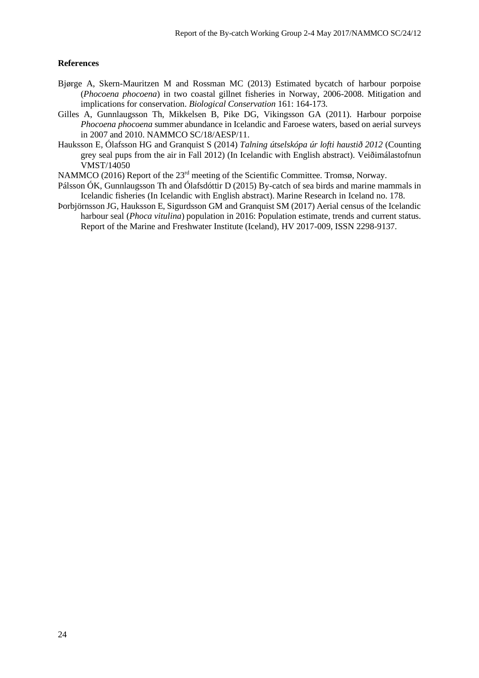#### **References**

- Bjørge A, Skern-Mauritzen M and Rossman MC (2013) Estimated bycatch of harbour porpoise (*Phocoena phocoena*) in two coastal gillnet fisheries in Norway, 2006-2008. Mitigation and implications for conservation. *Biological Conservation* 161: 164-173.
- Gilles A, Gunnlaugsson Th, Mikkelsen B, Pike DG, Vikingsson GA (2011). Harbour porpoise *Phocoena phocoena* summer abundance in Icelandic and Faroese waters, based on aerial surveys in 2007 and 2010. NAMMCO SC/18/AESP/11.
- Hauksson E, Ólafsson HG and Granquist S (2014) *Talning útselskópa úr lofti haustið 2012* (Counting grey seal pups from the air in Fall 2012) (In Icelandic with English abstract). Veiðimálastofnun VMST/14050

NAMMCO (2016) Report of the 23rd meeting of the Scientific Committee. Tromsø, Norway.

- Pálsson ÓK, Gunnlaugsson Th and Ólafsdóttir D (2015) By-catch of sea birds and marine mammals in Icelandic fisheries (In Icelandic with English abstract). Marine Research in Iceland no. 178.
- Þorbjörnsson JG, Hauksson E, Sigurdsson GM and Granquist SM (2017) Aerial census of the Icelandic harbour seal (*Phoca vitulina*) population in 2016: Population estimate, trends and current status. Report of the Marine and Freshwater Institute (Iceland), HV 2017-009, ISSN 2298-9137.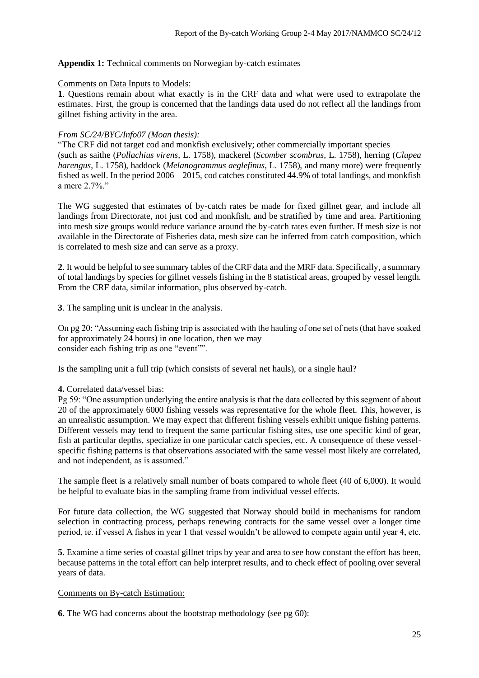#### **Appendix 1:** Technical comments on Norwegian by-catch estimates

#### Comments on Data Inputs to Models:

**1**. Questions remain about what exactly is in the CRF data and what were used to extrapolate the estimates. First, the group is concerned that the landings data used do not reflect all the landings from gillnet fishing activity in the area.

#### *From SC/24/BYC/Info07 (Moan thesis):*

"The CRF did not target cod and monkfish exclusively; other commercially important species (such as saithe (*Pollachius virens,* L. 1758), mackerel (*Scomber scombrus*, L. 1758), herring (*Clupea harengus*, L. 1758), haddock (*Melanogrammus aeglefinus*, L. 1758), and many more) were frequently fished as well. In the period 2006 – 2015, cod catches constituted 44.9% of total landings, and monkfish a mere 2.7%."

The WG suggested that estimates of by-catch rates be made for fixed gillnet gear, and include all landings from Directorate, not just cod and monkfish, and be stratified by time and area. Partitioning into mesh size groups would reduce variance around the by-catch rates even further. If mesh size is not available in the Directorate of Fisheries data, mesh size can be inferred from catch composition, which is correlated to mesh size and can serve as a proxy.

**2**. It would be helpful to see summary tables of the CRF data and the MRF data. Specifically, a summary of total landings by species for gillnet vessels fishing in the 8 statistical areas, grouped by vessel length. From the CRF data, similar information, plus observed by-catch.

**3**. The sampling unit is unclear in the analysis.

On pg 20: "Assuming each fishing trip is associated with the hauling of one set of nets (that have soaked for approximately 24 hours) in one location, then we may consider each fishing trip as one "event"".

Is the sampling unit a full trip (which consists of several net hauls), or a single haul?

#### **4.** Correlated data/vessel bias:

Pg 59: "One assumption underlying the entire analysis is that the data collected by this segment of about 20 of the approximately 6000 fishing vessels was representative for the whole fleet. This, however, is an unrealistic assumption. We may expect that different fishing vessels exhibit unique fishing patterns. Different vessels may tend to frequent the same particular fishing sites, use one specific kind of gear, fish at particular depths, specialize in one particular catch species, etc. A consequence of these vesselspecific fishing patterns is that observations associated with the same vessel most likely are correlated, and not independent, as is assumed."

The sample fleet is a relatively small number of boats compared to whole fleet (40 of 6,000). It would be helpful to evaluate bias in the sampling frame from individual vessel effects.

For future data collection, the WG suggested that Norway should build in mechanisms for random selection in contracting process, perhaps renewing contracts for the same vessel over a longer time period, ie. if vessel A fishes in year 1 that vessel wouldn't be allowed to compete again until year 4, etc.

**5**. Examine a time series of coastal gillnet trips by year and area to see how constant the effort has been, because patterns in the total effort can help interpret results, and to check effect of pooling over several years of data.

#### Comments on By-catch Estimation:

**6**. The WG had concerns about the bootstrap methodology (see pg 60):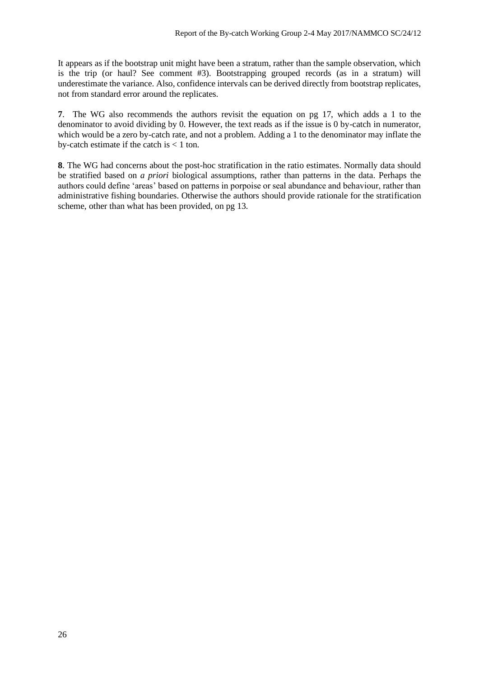It appears as if the bootstrap unit might have been a stratum, rather than the sample observation, which is the trip (or haul? See comment #3). Bootstrapping grouped records (as in a stratum) will underestimate the variance. Also, confidence intervals can be derived directly from bootstrap replicates, not from standard error around the replicates.

**7**. The WG also recommends the authors revisit the equation on pg 17, which adds a 1 to the denominator to avoid dividing by 0. However, the text reads as if the issue is 0 by-catch in numerator, which would be a zero by-catch rate, and not a problem. Adding a 1 to the denominator may inflate the by-catch estimate if the catch is  $< 1$  ton.

**8**. The WG had concerns about the post-hoc stratification in the ratio estimates. Normally data should be stratified based on *a priori* biological assumptions, rather than patterns in the data. Perhaps the authors could define 'areas' based on patterns in porpoise or seal abundance and behaviour, rather than administrative fishing boundaries. Otherwise the authors should provide rationale for the stratification scheme, other than what has been provided, on pg 13.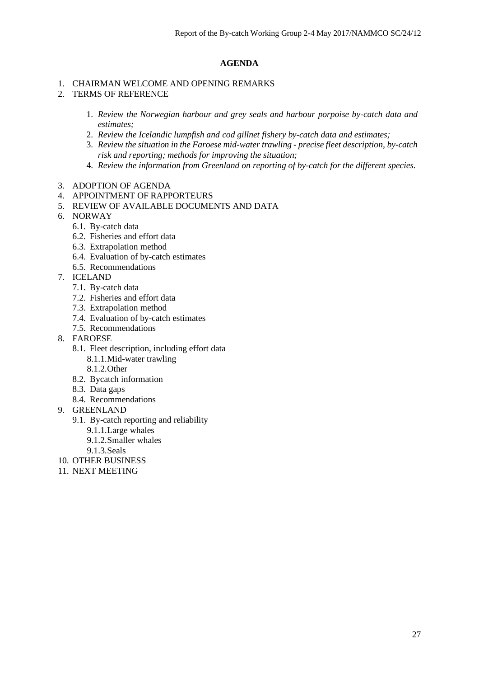#### **AGENDA**

#### 1. CHAIRMAN WELCOME AND OPENING REMARKS

- 2. TERMS OF REFERENCE
	- 1. *Review the Norwegian harbour and grey seals and harbour porpoise by-catch data and estimates;*
	- 2. *Review the Icelandic lumpfish and cod gillnet fishery by-catch data and estimates;*
	- 3. *Review the situation in the Faroese mid-water trawling - precise fleet description, by-catch risk and reporting; methods for improving the situation;*
	- 4. *Review the information from Greenland on reporting of by-catch for the different species.*
- 3. ADOPTION OF AGENDA
- 4. APPOINTMENT OF RAPPORTEURS
- 5. REVIEW OF AVAILABLE DOCUMENTS AND DATA
- 6. NORWAY
	- 6.1. By-catch data
	- 6.2. Fisheries and effort data
	- 6.3. Extrapolation method
	- 6.4. Evaluation of by-catch estimates
	- 6.5. Recommendations
- 7. ICELAND
	- 7.1. By-catch data
	- 7.2. Fisheries and effort data
	- 7.3. Extrapolation method
	- 7.4. Evaluation of by-catch estimates
	- 7.5. Recommendations
- 8. FAROESE
	- 8.1. Fleet description, including effort data
		- 8.1.1.Mid-water trawling
		- 8.1.2.Other
	- 8.2. Bycatch information
	- 8.3. Data gaps
	- 8.4. Recommendations
- 9. GREENLAND
	- 9.1. By-catch reporting and reliability
		- 9.1.1.Large whales
		- 9.1.2.Smaller whales
		- 9.1.3.Seals
- 10. OTHER BUSINESS
- 11. NEXT MEETING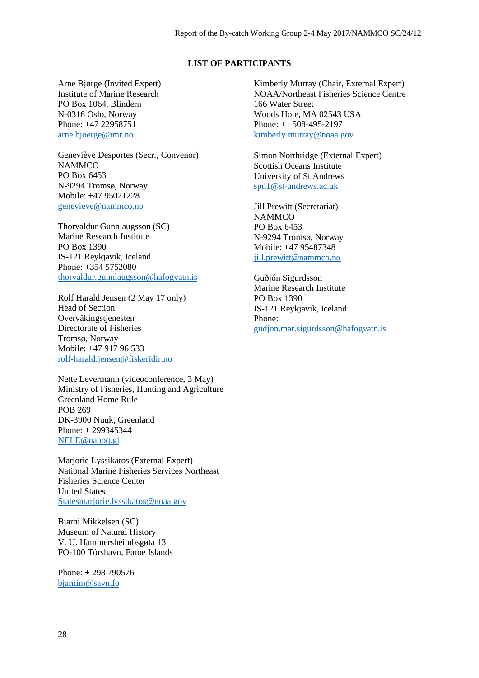#### **LIST OF PARTICIPANTS**

Arne Bjørge (Invited Expert) Institute of Marine Research PO Box 1064, Blindern N-0316 Oslo, Norway Phone: +47 22958751 [arne.bjoerge@imr.no](mailto:arne.bjoerge@imr.no)

Geneviève Desportes (Secr., Convenor) **NAMMCO** PO Box 6453 N-9294 Tromsø, Norway Mobile: +47 95021228 [genevieve@nammco.no](mailto:genevieve@nammco.no)

Thorvaldur Gunnlaugsson (SC) Marine Research Institute PO Box 1390 IS-121 Reykjavik, Iceland Phone: +354 5752080 [thorvaldur.gunnlaugsson@hafogvatn.is](mailto:thorvaldur.gunnlaugsson@hafogvatn.is)

Rolf Harald Jensen (2 May 17 only) Head of Section Overvåkingstjenesten Directorate of Fisheries Tromsø, Norway Mobile: +47 917 96 533 [rolf-harald.jensen@fiskeridir.no](mailto:rolf-harald.jensen@fiskeridir.no)

Nette Levermann (videoconference, 3 May) Ministry of Fisheries, Hunting and Agriculture Greenland Home Rule POB 269 DK-3900 Nuuk, Greenland Phone: + 299345344 [NELE@nanoq.gl](mailto:NELE@nanoq.gl)

Marjorie Lyssikatos (External Expert) National Marine Fisheries Services Northeast Fisheries Science Center United States [Statesmarjorie.lyssikatos@noaa.gov](mailto:Statesmarjorie.lyssikatos@noaa.gov)

Bjarni Mikkelsen (SC) Museum of Natural History V. U. Hammersheimbsgøta 13 FO-100 Tórshavn, Faroe Islands

Phone: + 298 790576 [bjarnim@savn.fo](mailto:bjarnim@savn.fo)

Kimberly Murray (Chair, External Expert) NOAA/Northeast Fisheries Science Centre 166 Water Street Woods Hole, MA 02543 USA Phone: +1 508-495-2197 [kimberly.murray@noaa.gov](mailto:kimberly.murray@noaa.gov) 

Simon Northridge (External Expert) Scottish Oceans Institute University of St Andrews [spn1@st-andrews.ac.uk](mailto:spn1@st-andrews.ac.uk)

Jill Prewitt (Secretariat) **NAMMCO** PO Box 6453 N-9294 Tromsø, Norway Mobile: +47 95487348 [jill.prewitt@nammco.no](mailto:jill.prewitt@nammco.no)

Guðjón Sigurdsson Marine Research Institute PO Box 1390 IS-121 Reykjavik, Iceland Phone: [gudjon.mar.sigurdsson@hafogvatn.is](mailto:gudjon.mar.sigurdsson@hafogvatn.is)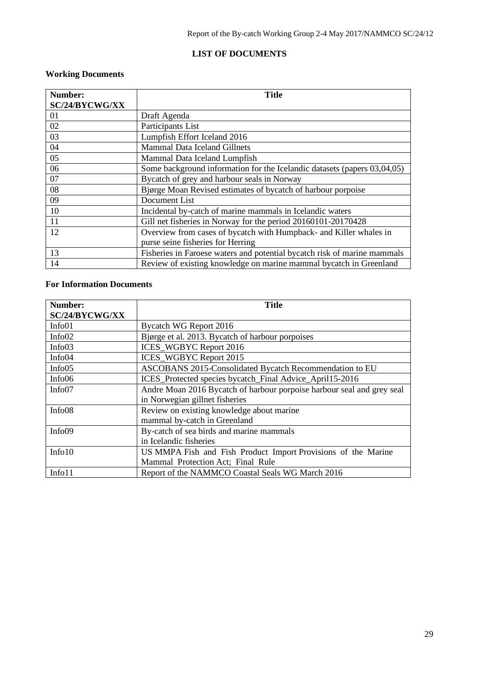# **LIST OF DOCUMENTS**

# **Working Documents**

| Number:        | <b>Title</b>                                                             |
|----------------|--------------------------------------------------------------------------|
| SC/24/BYCWG/XX |                                                                          |
| 01             | Draft Agenda                                                             |
| 02             | Participants List                                                        |
| 03             | Lumpfish Effort Iceland 2016                                             |
| 04             | <b>Mammal Data Iceland Gillnets</b>                                      |
| 05             | Mammal Data Iceland Lumpfish                                             |
| 06             | Some background information for the Icelandic datasets (papers 03,04,05) |
| 07             | Bycatch of grey and harbour seals in Norway                              |
| 08             | Bjørge Moan Revised estimates of bycatch of harbour porpoise             |
| 09             | Document List                                                            |
| 10             | Incidental by-catch of marine mammals in Icelandic waters                |
| 11             | Gill net fisheries in Norway for the period 20160101-20170428            |
| 12             | Overview from cases of bycatch with Humpback- and Killer whales in       |
|                | purse seine fisheries for Herring                                        |
| 13             | Fisheries in Faroese waters and potential bycatch risk of marine mammals |
| 14             | Review of existing knowledge on marine mammal bycatch in Greenland       |

# **For Information Documents**

| Number:        | <b>Title</b>                                                           |
|----------------|------------------------------------------------------------------------|
| SC/24/BYCWG/XX |                                                                        |
| Info01         | Bycatch WG Report 2016                                                 |
| Info02         | Bjørge et al. 2013. Bycatch of harbour porpoises                       |
| Info03         | <b>ICES_WGBYC Report 2016</b>                                          |
| Info04         | <b>ICES WGBYC Report 2015</b>                                          |
| Info05         | ASCOBANS 2015-Consolidated Bycatch Recommendation to EU                |
| Info06         | ICES_Protected species bycatch_Final Advice_April15-2016               |
| Info07         | Andre Moan 2016 Bycatch of harbour porpoise harbour seal and grey seal |
|                | in Norwegian gillnet fisheries                                         |
| Info08         | Review on existing knowledge about marine                              |
|                | mammal by-catch in Greenland                                           |
| Info09         | By-catch of sea birds and marine mammals                               |
|                | in Icelandic fisheries                                                 |
| Info10         | US MMPA Fish and Fish Product Import Provisions of the Marine          |
|                | Mammal Protection Act; Final Rule                                      |
| Info11         | Report of the NAMMCO Coastal Seals WG March 2016                       |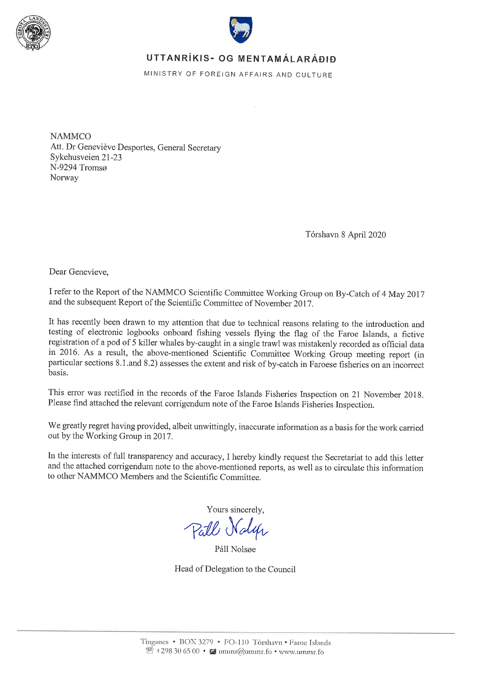



# UTTANRÍKIS- OG MENTAMÁLARÁÐIÐ

MINISTRY OF FOREIGN AFFAIRS AND CULTURE

**NAMMCO** Att. Dr Geneviève Desportes, General Secretary Sykehusveien 21-23 N-9294 Tromsø Norway

Tórshavn 8 April 2020

Dear Genevieve,

I refer to the Report of the NAMMCO Scientific Committee Working Group on By-Catch of 4 May 2017 and the subsequent Report of the Scientific Committee of November 2017.

It has recently been drawn to my attention that due to technical reasons relating to the introduction and testing of electronic logbooks onboard fishing vessels flying the flag of the Faroe Islands, a fictive registration of a pod of 5 killer whales by-caught in a single trawl was mistakenly recorded as official data in 2016. As a result, the above-mentioned Scientific Committee Working Group meeting report (in particular sections 8.1.and 8.2) assesses the extent and risk of by-catch in Faroese fisheries on an incorrect basis.

This error was rectified in the records of the Faroe Islands Fisheries Inspection on 21 November 2018. Please find attached the relevant corrigendum note of the Faroe Islands Fisheries Inspection.

We greatly regret having provided, albeit unwittingly, inaccurate information as a basis for the work carried out by the Working Group in 2017.

In the interests of full transparency and accuracy, I hereby kindly request the Secretariat to add this letter and the attached corrigendum note to the above-mentioned reports, as well as to circulate this information to other NAMMCO Members and the Scientific Committee.

Yours sincerely,

Pall Noly

Páll Nolsøe

Head of Delegation to the Council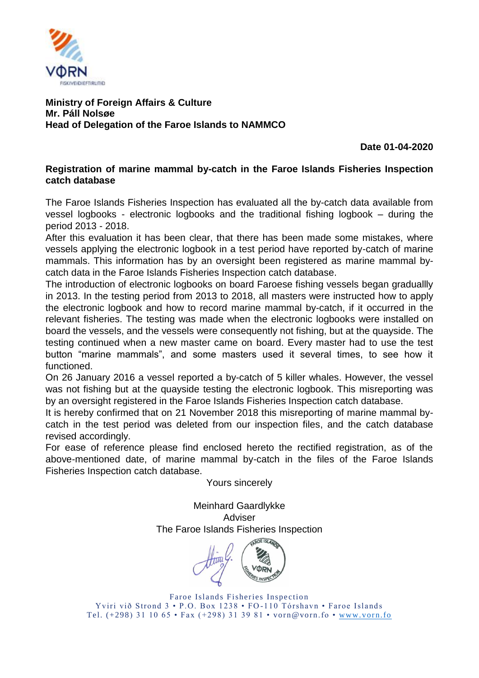

# **Ministry of Foreign Affairs & Culture Mr. Páll Nolsøe Head of Delegation of the Faroe Islands to NAMMCO**

**Date 01-04-2020**

# **Registration of marine mammal by-catch in the Faroe Islands Fisheries Inspection catch database**

The Faroe Islands Fisheries Inspection has evaluated all the by-catch data available from vessel logbooks - electronic logbooks and the traditional fishing logbook – during the period 2013 - 2018.

After this evaluation it has been clear, that there has been made some mistakes, where vessels applying the electronic logbook in a test period have reported by-catch of marine mammals. This information has by an oversight been registered as marine mammal bycatch data in the Faroe Islands Fisheries Inspection catch database.

The introduction of electronic logbooks on board Faroese fishing vessels began graduallly in 2013. In the testing period from 2013 to 2018, all masters were instructed how to apply the electronic logbook and how to record marine mammal by-catch, if it occurred in the relevant fisheries. The testing was made when the electronic logbooks were installed on board the vessels, and the vessels were consequently not fishing, but at the quayside. The testing continued when a new master came on board. Every master had to use the test button "marine mammals", and some masters used it several times, to see how it functioned.

On 26 January 2016 a vessel reported a by-catch of 5 killer whales. However, the vessel was not fishing but at the quayside testing the electronic logbook. This misreporting was by an oversight registered in the Faroe Islands Fisheries Inspection catch database.

It is hereby confirmed that on 21 November 2018 this misreporting of marine mammal bycatch in the test period was deleted from our inspection files, and the catch database revised accordingly.

For ease of reference please find enclosed hereto the rectified registration, as of the above-mentioned date, of marine mammal by-catch in the files of the Faroe Islands Fisheries Inspection catch database.

Yours sincerely

Meinhard Gaardlykke Adviser The Faroe Islands Fisheries Inspection

Faroe Islands Fisheries Inspection Yviri við Strond 3 • P.O. Box 1238 • FO-110 Tórshavn • Faroe Islands Tel. (+298) 31 10 65 • Fax (+298) 31 39 81 • vorn@vorn.fo • [www.vorn.fo](http://www.vorn.fo/)